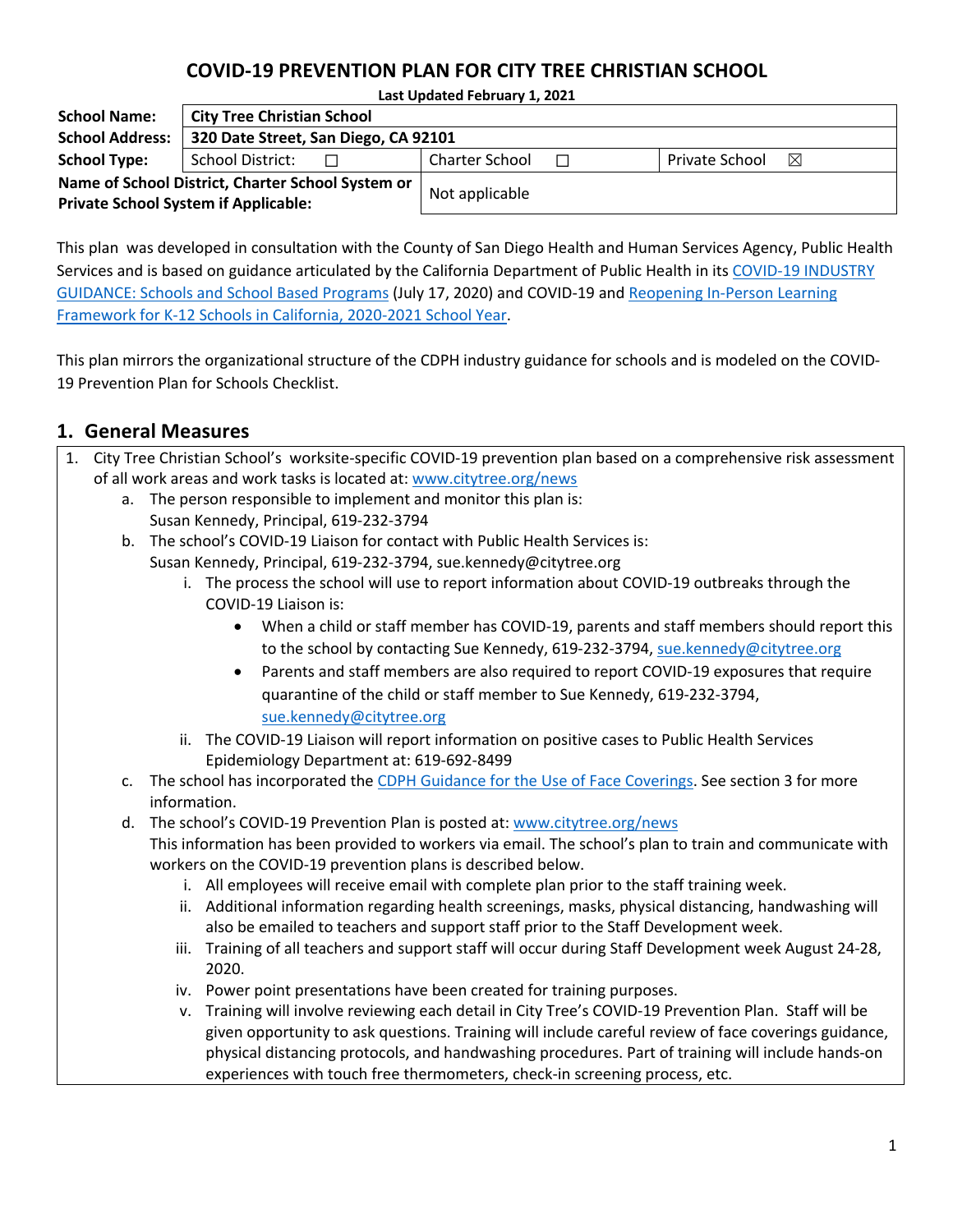#### **COVID-19 PREVENTION PLAN FOR CITY TREE CHRISTIAN SCHOOL**

**Last Updated February 1, 2021**

| <b>School Name:</b>                                                                              | <b>City Tree Christian School</b> |                |                |   |
|--------------------------------------------------------------------------------------------------|-----------------------------------|----------------|----------------|---|
| <b>School Address:</b><br>320 Date Street, San Diego, CA 92101                                   |                                   |                |                |   |
| <b>School Type:</b><br>School District:                                                          |                                   | Charter School | Private School | ⊠ |
| Name of School District, Charter School System or<br><b>Private School System if Applicable:</b> |                                   | Not applicable |                |   |

This plan was developed in consultation with the County of San Diego Health and Human Services Agency, Public Health Services and is based on guidance articulated by the California Department of Public Health in its COVID-19 INDUSTRY GUIDANCE: Schools and School Based Programs (July 17, 2020) and COVID-19 and Reopening In-Person Learning Framework for K-12 Schools in California, 2020-2021 School Year.

This plan mirrors the organizational structure of the CDPH industry guidance for schools and is modeled on the COVID-19 Prevention Plan for Schools Checklist.

1. City Tree Christian School's worksite-specific COVID-19 prevention plan based on a comprehensive risk assessment

#### **1. General Measures**

|    | of all work areas and work tasks is located at: www.citytree.org/news                                                                                                                      |
|----|--------------------------------------------------------------------------------------------------------------------------------------------------------------------------------------------|
|    | a. The person responsible to implement and monitor this plan is:                                                                                                                           |
|    | Susan Kennedy, Principal, 619-232-3794                                                                                                                                                     |
| b. | The school's COVID-19 Liaison for contact with Public Health Services is:                                                                                                                  |
|    | Susan Kennedy, Principal, 619-232-3794, sue.kennedy@citytree.org                                                                                                                           |
|    | The process the school will use to report information about COVID-19 outbreaks through the<br>COVID-19 Liaison is:                                                                         |
|    | When a child or staff member has COVID-19, parents and staff members should report this<br>$\bullet$<br>to the school by contacting Sue Kennedy, 619-232-3794, sue.kennedy@citytree.org    |
|    | Parents and staff members are also required to report COVID-19 exposures that require<br>$\bullet$                                                                                         |
|    | quarantine of the child or staff member to Sue Kennedy, 619-232-3794,                                                                                                                      |
|    | sue.kennedy@citytree.org                                                                                                                                                                   |
|    | The COVID-19 Liaison will report information on positive cases to Public Health Services<br>ii.                                                                                            |
|    | Epidemiology Department at: 619-692-8499                                                                                                                                                   |
| c. | The school has incorporated the CDPH Guidance for the Use of Face Coverings. See section 3 for more                                                                                        |
|    | information.                                                                                                                                                                               |
| d. | The school's COVID-19 Prevention Plan is posted at: www.citytree.org/news                                                                                                                  |
|    | This information has been provided to workers via email. The school's plan to train and communicate with                                                                                   |
|    | workers on the COVID-19 prevention plans is described below.                                                                                                                               |
|    | All employees will receive email with complete plan prior to the staff training week.<br>i.                                                                                                |
|    | ii. Additional information regarding health screenings, masks, physical distancing, handwashing will<br>also be emailed to teachers and support staff prior to the Staff Development week. |
|    | Training of all teachers and support staff will occur during Staff Development week August 24-28,<br>iii.<br>2020.                                                                         |
|    | iv. Power point presentations have been created for training purposes.                                                                                                                     |
|    | v. Training will involve reviewing each detail in City Tree's COVID-19 Prevention Plan. Staff will be                                                                                      |
|    |                                                                                                                                                                                            |

given opportunity to ask questions. Training will include careful review of face coverings guidance, physical distancing protocols, and handwashing procedures. Part of training will include hands-on experiences with touch free thermometers, check-in screening process, etc.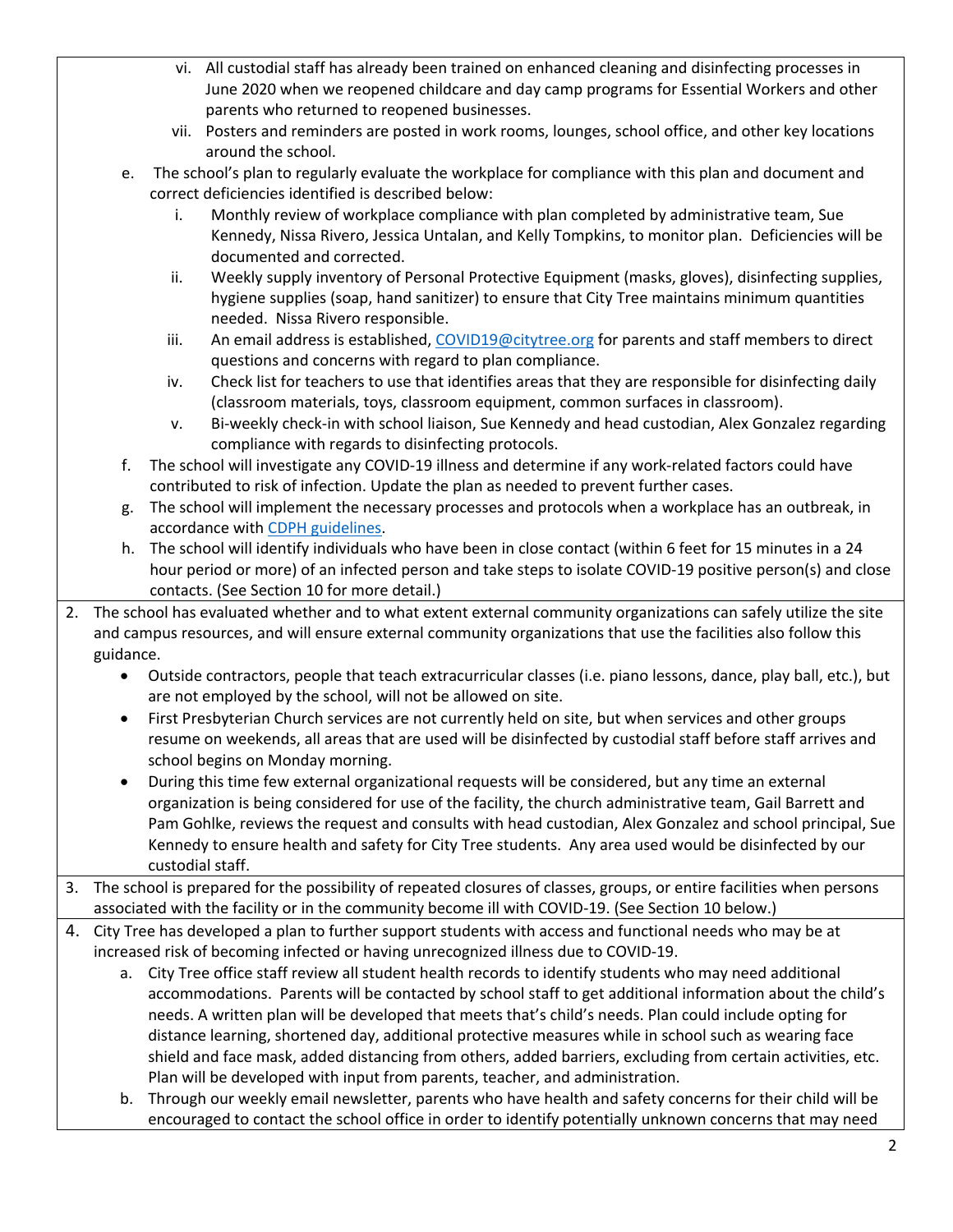- vi. All custodial staff has already been trained on enhanced cleaning and disinfecting processes in June 2020 when we reopened childcare and day camp programs for Essential Workers and other parents who returned to reopened businesses.
- vii. Posters and reminders are posted in work rooms, lounges, school office, and other key locations around the school.
- e. The school's plan to regularly evaluate the workplace for compliance with this plan and document and correct deficiencies identified is described below:
	- i. Monthly review of workplace compliance with plan completed by administrative team, Sue Kennedy, Nissa Rivero, Jessica Untalan, and Kelly Tompkins, to monitor plan. Deficiencies will be documented and corrected.
	- ii. Weekly supply inventory of Personal Protective Equipment (masks, gloves), disinfecting supplies, hygiene supplies (soap, hand sanitizer) to ensure that City Tree maintains minimum quantities needed. Nissa Rivero responsible.
	- iii. An email address is established, COVID19@citytree.org for parents and staff members to direct questions and concerns with regard to plan compliance.
	- iv. Check list for teachers to use that identifies areas that they are responsible for disinfecting daily (classroom materials, toys, classroom equipment, common surfaces in classroom).
	- v. Bi-weekly check-in with school liaison, Sue Kennedy and head custodian, Alex Gonzalez regarding compliance with regards to disinfecting protocols.
- f. The school will investigate any COVID-19 illness and determine if any work-related factors could have contributed to risk of infection. Update the plan as needed to prevent further cases.
- g. The school will implement the necessary processes and protocols when a workplace has an outbreak, in accordance with CDPH guidelines.
- h. The school will identify individuals who have been in close contact (within 6 feet for 15 minutes in a 24 hour period or more) of an infected person and take steps to isolate COVID-19 positive person(s) and close contacts. (See Section 10 for more detail.)
- 2. The school has evaluated whether and to what extent external community organizations can safely utilize the site and campus resources, and will ensure external community organizations that use the facilities also follow this guidance.
	- Outside contractors, people that teach extracurricular classes (i.e. piano lessons, dance, play ball, etc.), but are not employed by the school, will not be allowed on site.
	- First Presbyterian Church services are not currently held on site, but when services and other groups resume on weekends, all areas that are used will be disinfected by custodial staff before staff arrives and school begins on Monday morning.
	- During this time few external organizational requests will be considered, but any time an external organization is being considered for use of the facility, the church administrative team, Gail Barrett and Pam Gohlke, reviews the request and consults with head custodian, Alex Gonzalez and school principal, Sue Kennedy to ensure health and safety for City Tree students. Any area used would be disinfected by our custodial staff.
- 3. The school is prepared for the possibility of repeated closures of classes, groups, or entire facilities when persons associated with the facility or in the community become ill with COVID-19. (See Section 10 below.)
- 4. City Tree has developed a plan to further support students with access and functional needs who may be at increased risk of becoming infected or having unrecognized illness due to COVID-19.
	- a. City Tree office staff review all student health records to identify students who may need additional accommodations. Parents will be contacted by school staff to get additional information about the child's needs. A written plan will be developed that meets that's child's needs. Plan could include opting for distance learning, shortened day, additional protective measures while in school such as wearing face shield and face mask, added distancing from others, added barriers, excluding from certain activities, etc. Plan will be developed with input from parents, teacher, and administration.
	- b. Through our weekly email newsletter, parents who have health and safety concerns for their child will be encouraged to contact the school office in order to identify potentially unknown concerns that may need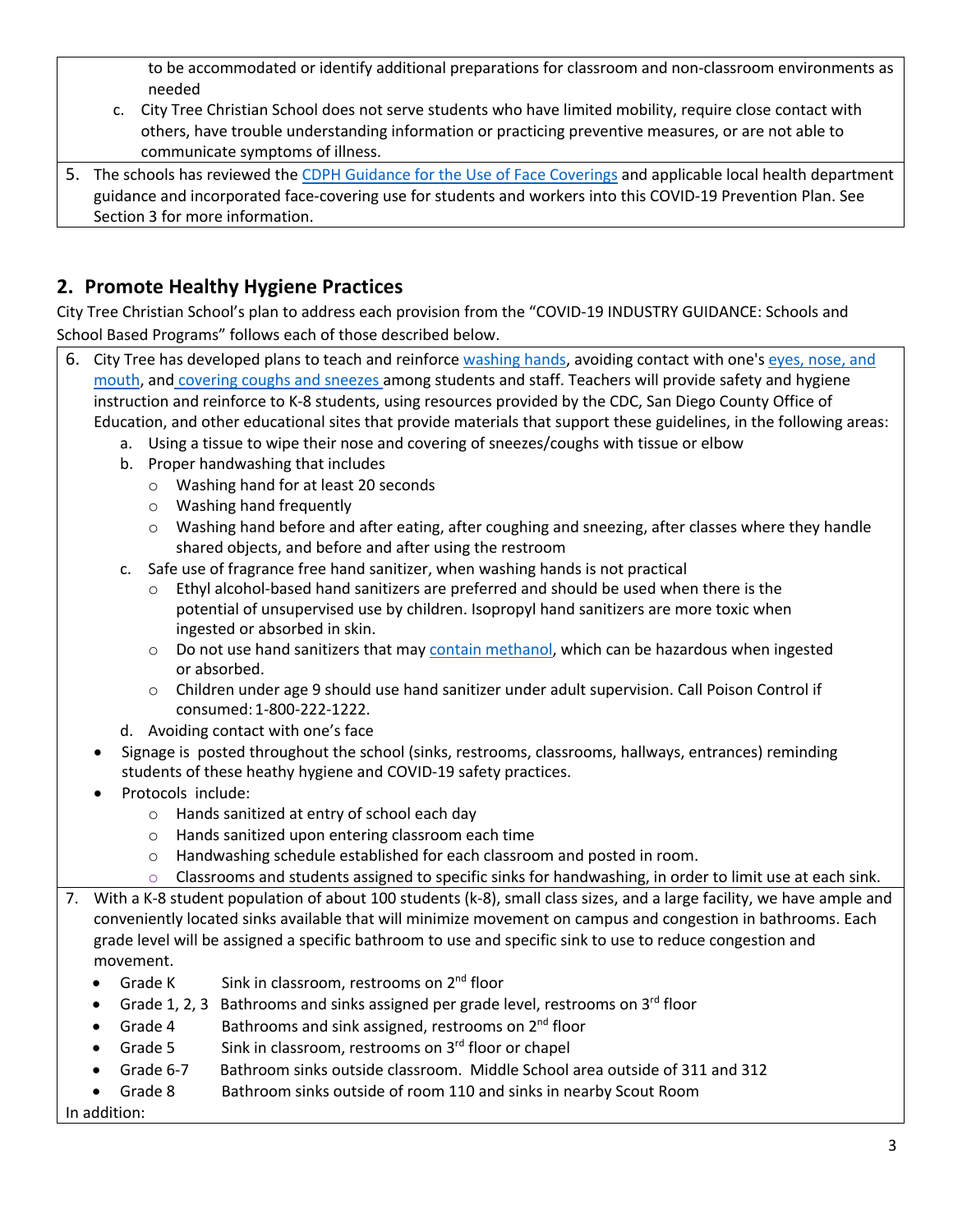to be accommodated or identify additional preparations for classroom and non-classroom environments as needed

- c. City Tree Christian School does not serve students who have limited mobility, require close contact with others, have trouble understanding information or practicing preventive measures, or are not able to communicate symptoms of illness.
- 5. The schools has reviewed the CDPH Guidance for the Use of Face Coverings and applicable local health department guidance and incorporated face-covering use for students and workers into this COVID-19 Prevention Plan. See Section 3 for more information.

# **2. Promote Healthy Hygiene Practices**

City Tree Christian School's plan to address each provision from the "COVID-19 INDUSTRY GUIDANCE: Schools and School Based Programs" follows each of those described below.

- 6. City Tree has developed plans to teach and reinforce washing hands, avoiding contact with one's eyes, nose, and mouth, and covering coughs and sneezes among students and staff. Teachers will provide safety and hygiene instruction and reinforce to K-8 students, using resources provided by the CDC, San Diego County Office of Education, and other educational sites that provide materials that support these guidelines, in the following areas:
	- a. Using a tissue to wipe their nose and covering of sneezes/coughs with tissue or elbow
	- b. Proper handwashing that includes
		- o Washing hand for at least 20 seconds
		- o Washing hand frequently
		- o Washing hand before and after eating, after coughing and sneezing, after classes where they handle shared objects, and before and after using the restroom
	- c. Safe use of fragrance free hand sanitizer, when washing hands is not practical
		- Ethyl alcohol-based hand sanitizers are preferred and should be used when there is the potential of unsupervised use by children. Isopropyl hand sanitizers are more toxic when ingested or absorbed in skin.
		- $\circ$  Do not use hand sanitizers that may contain methanol, which can be hazardous when ingested or absorbed.
		- o Children under age 9 should use hand sanitizer under adult supervision. Call Poison Control if consumed: 1-800-222-1222.
	- d. Avoiding contact with one's face
	- Signage is posted throughout the school (sinks, restrooms, classrooms, hallways, entrances) reminding students of these heathy hygiene and COVID-19 safety practices.
	- Protocols include:
		- o Hands sanitized at entry of school each day
		- o Hands sanitized upon entering classroom each time
		- o Handwashing schedule established for each classroom and posted in room.
		- $\circ$  Classrooms and students assigned to specific sinks for handwashing, in order to limit use at each sink.
- 7. With a K-8 student population of about 100 students (k-8), small class sizes, and a large facility, we have ample and conveniently located sinks available that will minimize movement on campus and congestion in bathrooms. Each grade level will be assigned a specific bathroom to use and specific sink to use to reduce congestion and movement.
	- Grade K Sink in classroom, restrooms on  $2^{nd}$  floor
	- Grade 1, 2, 3 Bathrooms and sinks assigned per grade level, restrooms on  $3<sup>rd</sup>$  floor
	- Grade 4 Bathrooms and sink assigned, restrooms on  $2^{nd}$  floor
	- Grade 5 Sink in classroom, restrooms on  $3<sup>rd</sup>$  floor or chapel
	- Grade 6-7 Bathroom sinks outside classroom. Middle School area outside of 311 and 312
	- Grade 8 Bathroom sinks outside of room 110 and sinks in nearby Scout Room

In addition: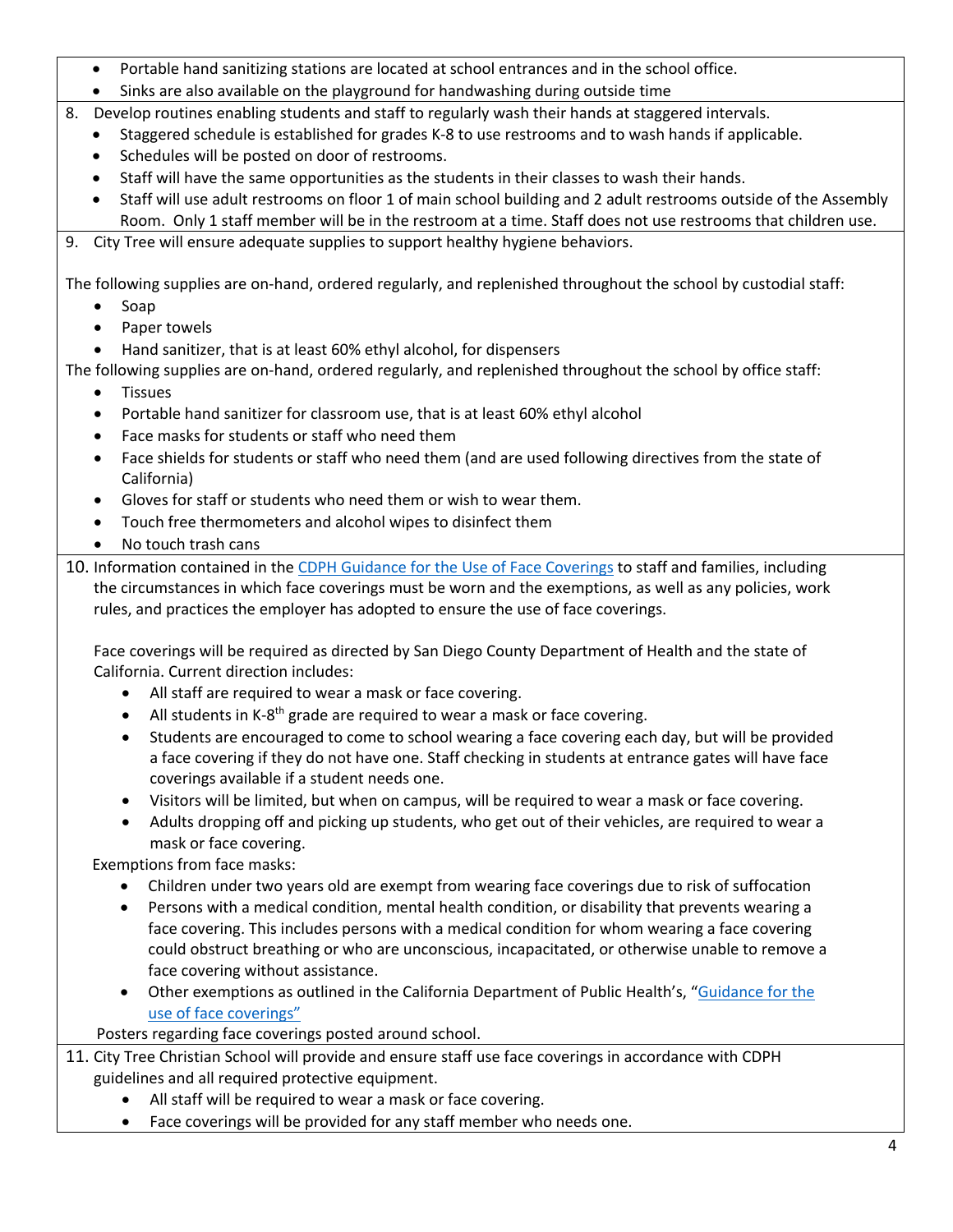- Portable hand sanitizing stations are located at school entrances and in the school office.
- Sinks are also available on the playground for handwashing during outside time
- 8. Develop routines enabling students and staff to regularly wash their hands at staggered intervals.
	- Staggered schedule is established for grades K-8 to use restrooms and to wash hands if applicable.
	- Schedules will be posted on door of restrooms.
	- Staff will have the same opportunities as the students in their classes to wash their hands.
	- Staff will use adult restrooms on floor 1 of main school building and 2 adult restrooms outside of the Assembly Room. Only 1 staff member will be in the restroom at a time. Staff does not use restrooms that children use.
- 9. City Tree will ensure adequate supplies to support healthy hygiene behaviors.

The following supplies are on-hand, ordered regularly, and replenished throughout the school by custodial staff:

- Soap
- Paper towels
- Hand sanitizer, that is at least 60% ethyl alcohol, for dispensers

The following supplies are on-hand, ordered regularly, and replenished throughout the school by office staff:

- Tissues
- Portable hand sanitizer for classroom use, that is at least 60% ethyl alcohol
- Face masks for students or staff who need them
- Face shields for students or staff who need them (and are used following directives from the state of California)
- Gloves for staff or students who need them or wish to wear them.
- Touch free thermometers and alcohol wipes to disinfect them
- No touch trash cans
- 10. Information contained in the CDPH Guidance for the Use of Face Coverings to staff and families, including the circumstances in which face coverings must be worn and the exemptions, as well as any policies, work rules, and practices the employer has adopted to ensure the use of face coverings.

Face coverings will be required as directed by San Diego County Department of Health and the state of California. Current direction includes:

- All staff are required to wear a mask or face covering.
- All students in K-8<sup>th</sup> grade are required to wear a mask or face covering.
- Students are encouraged to come to school wearing a face covering each day, but will be provided a face covering if they do not have one. Staff checking in students at entrance gates will have face coverings available if a student needs one.
- Visitors will be limited, but when on campus, will be required to wear a mask or face covering.
- Adults dropping off and picking up students, who get out of their vehicles, are required to wear a mask or face covering.

Exemptions from face masks:

- Children under two years old are exempt from wearing face coverings due to risk of suffocation
- Persons with a medical condition, mental health condition, or disability that prevents wearing a face covering. This includes persons with a medical condition for whom wearing a face covering could obstruct breathing or who are unconscious, incapacitated, or otherwise unable to remove a face covering without assistance.
- Other exemptions as outlined in the California Department of Public Health's, "Guidance for the use of face coverings"

Posters regarding face coverings posted around school.

- 11. City Tree Christian School will provide and ensure staff use face coverings in accordance with CDPH guidelines and all required protective equipment.
	- All staff will be required to wear a mask or face covering.
	- Face coverings will be provided for any staff member who needs one.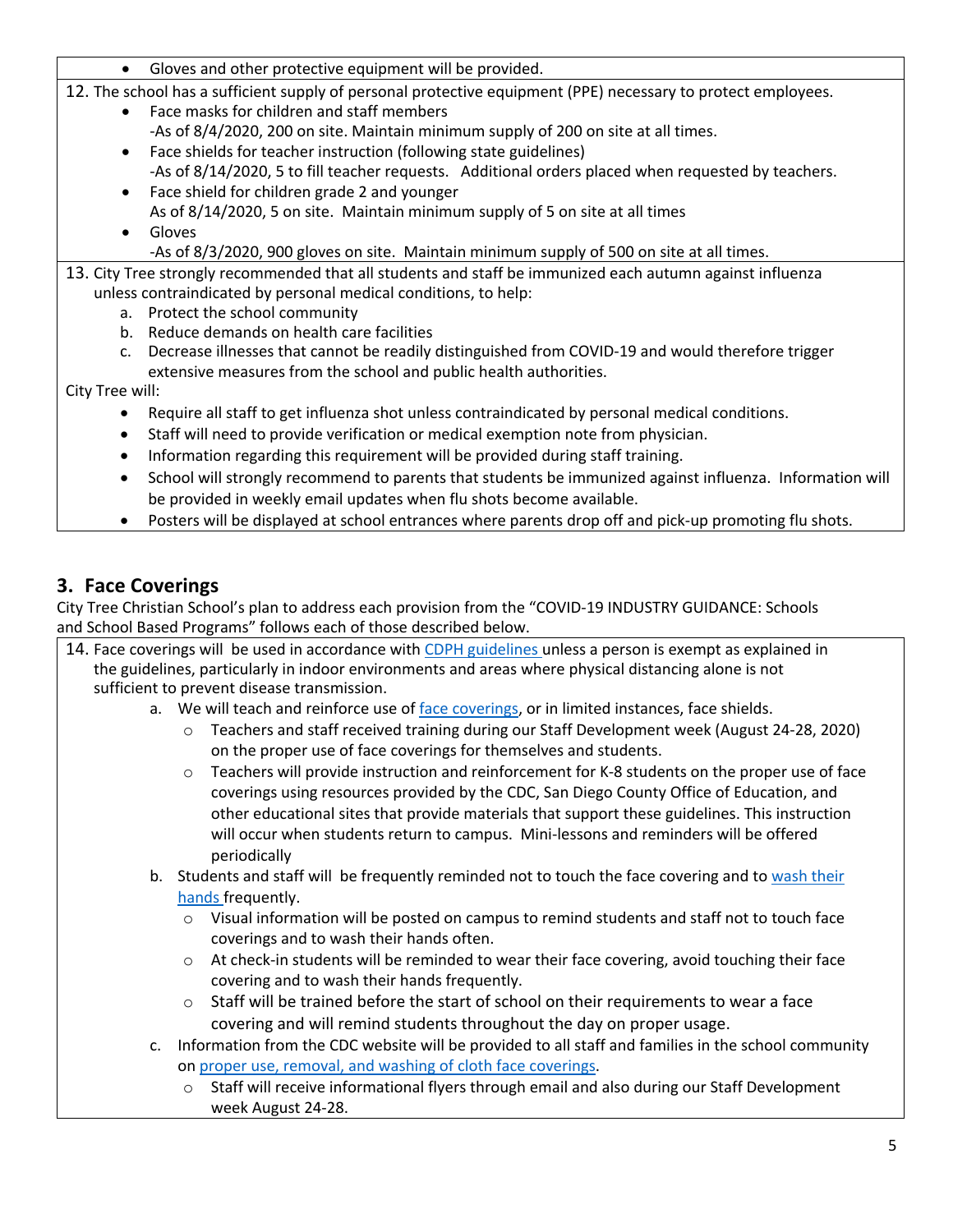Gloves and other protective equipment will be provided.

12. The school has a sufficient supply of personal protective equipment (PPE) necessary to protect employees.

- Face masks for children and staff members -As of 8/4/2020, 200 on site. Maintain minimum supply of 200 on site at all times.
- Face shields for teacher instruction (following state guidelines) -As of 8/14/2020, 5 to fill teacher requests. Additional orders placed when requested by teachers.
- Face shield for children grade 2 and younger As of 8/14/2020, 5 on site. Maintain minimum supply of 5 on site at all times
- Gloves
	- -As of 8/3/2020, 900 gloves on site. Maintain minimum supply of 500 on site at all times.
- 13. City Tree strongly recommended that all students and staff be immunized each autumn against influenza unless contraindicated by personal medical conditions, to help:
	- a. Protect the school community
	- b. Reduce demands on health care facilities
	- c. Decrease illnesses that cannot be readily distinguished from COVID-19 and would therefore trigger extensive measures from the school and public health authorities.

City Tree will:

- Require all staff to get influenza shot unless contraindicated by personal medical conditions.
- Staff will need to provide verification or medical exemption note from physician.
- Information regarding this requirement will be provided during staff training.
- School will strongly recommend to parents that students be immunized against influenza. Information will be provided in weekly email updates when flu shots become available.
- Posters will be displayed at school entrances where parents drop off and pick-up promoting flu shots.

## **3. Face Coverings**

City Tree Christian School's plan to address each provision from the "COVID-19 INDUSTRY GUIDANCE: Schools and School Based Programs" follows each of those described below.

- 14. Face coverings will be used in accordance with CDPH guidelines unless a person is exempt as explained in the guidelines, particularly in indoor environments and areas where physical distancing alone is not sufficient to prevent disease transmission.
	- a. We will teach and reinforce use of face coverings, or in limited instances, face shields.
		- o Teachers and staff received training during our Staff Development week (August 24-28, 2020) on the proper use of face coverings for themselves and students.
		- $\circ$  Teachers will provide instruction and reinforcement for K-8 students on the proper use of face coverings using resources provided by the CDC, San Diego County Office of Education, and other educational sites that provide materials that support these guidelines. This instruction will occur when students return to campus. Mini-lessons and reminders will be offered periodically
	- b. Students and staff will be frequently reminded not to touch the face covering and to wash their hands frequently.
		- $\circ$  Visual information will be posted on campus to remind students and staff not to touch face coverings and to wash their hands often.
		- $\circ$  At check-in students will be reminded to wear their face covering, avoid touching their face covering and to wash their hands frequently.
		- $\circ$  Staff will be trained before the start of school on their requirements to wear a face covering and will remind students throughout the day on proper usage.
	- c. Information from the CDC website will be provided to all staff and families in the school community on proper use, removal, and washing of cloth face coverings.
		- $\circ$  Staff will receive informational flyers through email and also during our Staff Development week August 24-28.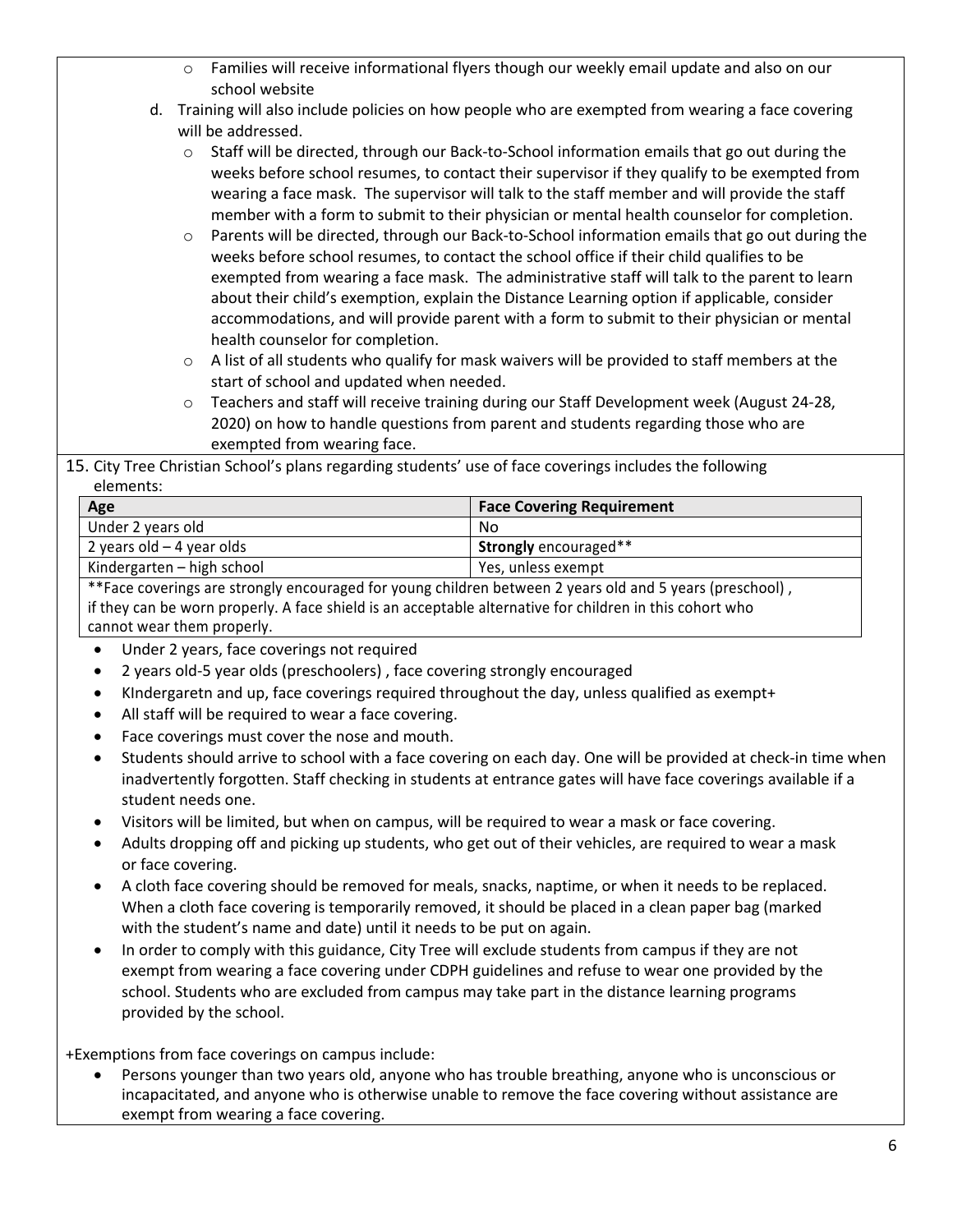- o Families will receive informational flyers though our weekly email update and also on our school website
- d. Training will also include policies on how people who are exempted from wearing a face covering will be addressed.
	- o Staff will be directed, through our Back-to-School information emails that go out during the weeks before school resumes, to contact their supervisor if they qualify to be exempted from wearing a face mask. The supervisor will talk to the staff member and will provide the staff member with a form to submit to their physician or mental health counselor for completion.
	- o Parents will be directed, through our Back-to-School information emails that go out during the weeks before school resumes, to contact the school office if their child qualifies to be exempted from wearing a face mask. The administrative staff will talk to the parent to learn about their child's exemption, explain the Distance Learning option if applicable, consider accommodations, and will provide parent with a form to submit to their physician or mental health counselor for completion.
	- $\circ$  A list of all students who qualify for mask waivers will be provided to staff members at the start of school and updated when needed.
	- o Teachers and staff will receive training during our Staff Development week (August 24-28, 2020) on how to handle questions from parent and students regarding those who are exempted from wearing face.
- 15. City Tree Christian School's plans regarding students' use of face coverings includes the following elements:

| Age                                                                                                                                | <b>Face Covering Requirement</b> |
|------------------------------------------------------------------------------------------------------------------------------------|----------------------------------|
| Under 2 years old                                                                                                                  | No                               |
| 2 years old $-$ 4 year olds                                                                                                        | <b>Strongly</b> encouraged**     |
| Kindergarten – high school                                                                                                         | Yes, unless exempt               |
| $\cdot$ $\cdot$<br>the contract of the contract of the contract of the contract of the contract of the contract of the contract of | $\cdot$ .                        |

\*\*Face coverings are strongly encouraged for young children between 2 years old and 5 years (preschool) , if they can be worn properly. A face shield is an acceptable alternative for children in this cohort who cannot wear them properly.

- Under 2 years, face coverings not required
- 2 years old-5 year olds (preschoolers) , face covering strongly encouraged
- KIndergaretn and up, face coverings required throughout the day, unless qualified as exempt+
- All staff will be required to wear a face covering.
- Face coverings must cover the nose and mouth.
- Students should arrive to school with a face covering on each day. One will be provided at check-in time when inadvertently forgotten. Staff checking in students at entrance gates will have face coverings available if a student needs one.
- Visitors will be limited, but when on campus, will be required to wear a mask or face covering.
- Adults dropping off and picking up students, who get out of their vehicles, are required to wear a mask or face covering.
- A cloth face covering should be removed for meals, snacks, naptime, or when it needs to be replaced. When a cloth face covering is temporarily removed, it should be placed in a clean paper bag (marked with the student's name and date) until it needs to be put on again.
- In order to comply with this guidance, City Tree will exclude students from campus if they are not exempt from wearing a face covering under CDPH guidelines and refuse to wear one provided by the school. Students who are excluded from campus may take part in the distance learning programs provided by the school.

+Exemptions from face coverings on campus include:

• Persons younger than two years old, anyone who has trouble breathing, anyone who is unconscious or incapacitated, and anyone who is otherwise unable to remove the face covering without assistance are exempt from wearing a face covering.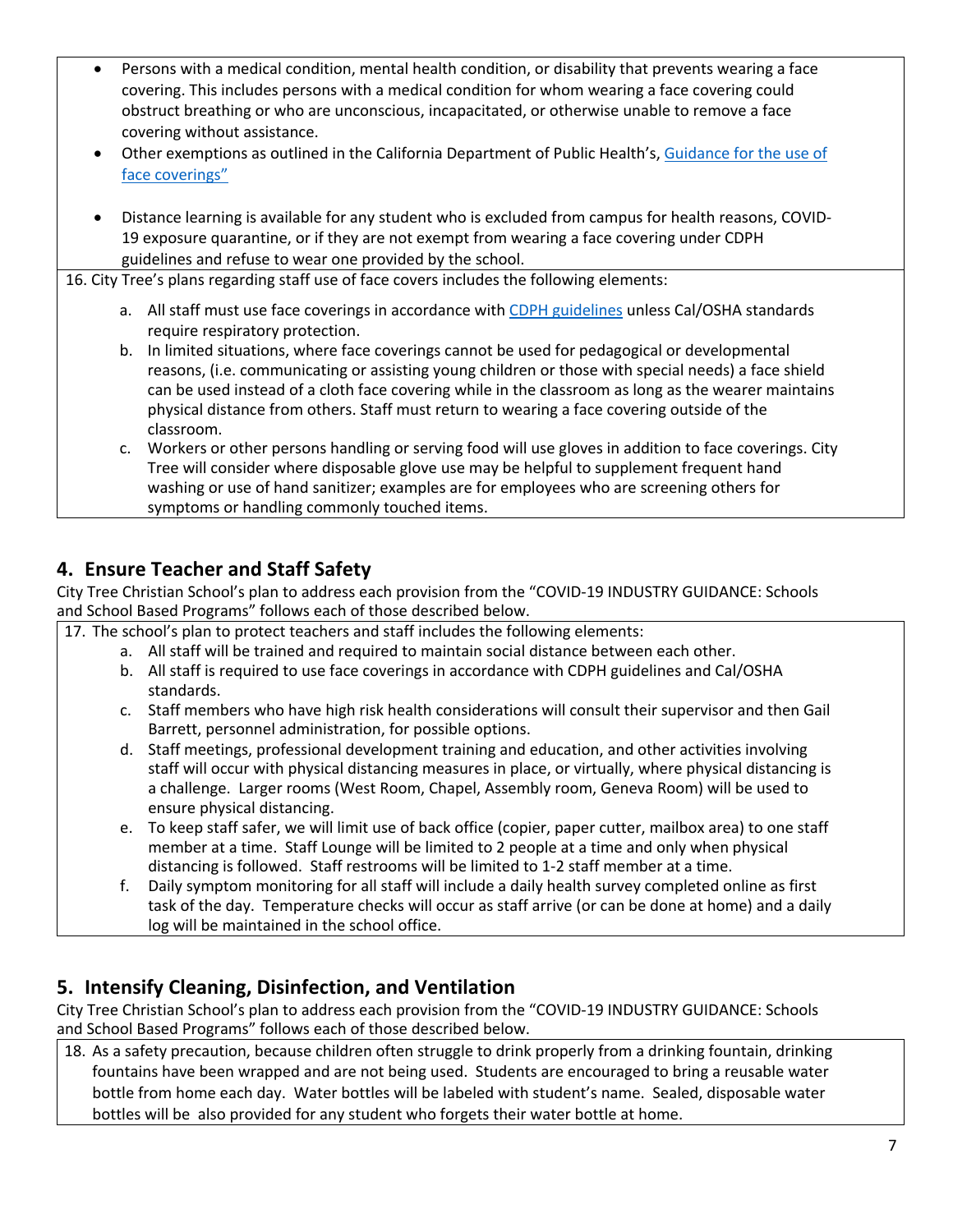- Persons with a medical condition, mental health condition, or disability that prevents wearing a face covering. This includes persons with a medical condition for whom wearing a face covering could obstruct breathing or who are unconscious, incapacitated, or otherwise unable to remove a face covering without assistance.
- Other exemptions as outlined in the California Department of Public Health's, Guidance for the use of face coverings"
- Distance learning is available for any student who is excluded from campus for health reasons, COVID-19 exposure quarantine, or if they are not exempt from wearing a face covering under CDPH guidelines and refuse to wear one provided by the school.

16. City Tree's plans regarding staff use of face covers includes the following elements:

- a. All staff must use face coverings in accordance with CDPH guidelines unless Cal/OSHA standards require respiratory protection.
- b. In limited situations, where face coverings cannot be used for pedagogical or developmental reasons, (i.e. communicating or assisting young children or those with special needs) a face shield can be used instead of a cloth face covering while in the classroom as long as the wearer maintains physical distance from others. Staff must return to wearing a face covering outside of the classroom.
- c. Workers or other persons handling or serving food will use gloves in addition to face coverings. City Tree will consider where disposable glove use may be helpful to supplement frequent hand washing or use of hand sanitizer; examples are for employees who are screening others for symptoms or handling commonly touched items.

## **4. Ensure Teacher and Staff Safety**

City Tree Christian School's plan to address each provision from the "COVID-19 INDUSTRY GUIDANCE: Schools and School Based Programs" follows each of those described below.

17. The school's plan to protect teachers and staff includes the following elements:

- a. All staff will be trained and required to maintain social distance between each other.
- b. All staff is required to use face coverings in accordance with CDPH guidelines and Cal/OSHA standards.
- c. Staff members who have high risk health considerations will consult their supervisor and then Gail Barrett, personnel administration, for possible options.
- d. Staff meetings, professional development training and education, and other activities involving staff will occur with physical distancing measures in place, or virtually, where physical distancing is a challenge. Larger rooms (West Room, Chapel, Assembly room, Geneva Room) will be used to ensure physical distancing.
- e. To keep staff safer, we will limit use of back office (copier, paper cutter, mailbox area) to one staff member at a time. Staff Lounge will be limited to 2 people at a time and only when physical distancing is followed. Staff restrooms will be limited to 1-2 staff member at a time.
- f. Daily symptom monitoring for all staff will include a daily health survey completed online as first task of the day. Temperature checks will occur as staff arrive (or can be done at home) and a daily log will be maintained in the school office.

## **5. Intensify Cleaning, Disinfection, and Ventilation**

City Tree Christian School's plan to address each provision from the "COVID-19 INDUSTRY GUIDANCE: Schools and School Based Programs" follows each of those described below.

18. As a safety precaution, because children often struggle to drink properly from a drinking fountain, drinking fountains have been wrapped and are not being used. Students are encouraged to bring a reusable water bottle from home each day. Water bottles will be labeled with student's name. Sealed, disposable water bottles will be also provided for any student who forgets their water bottle at home.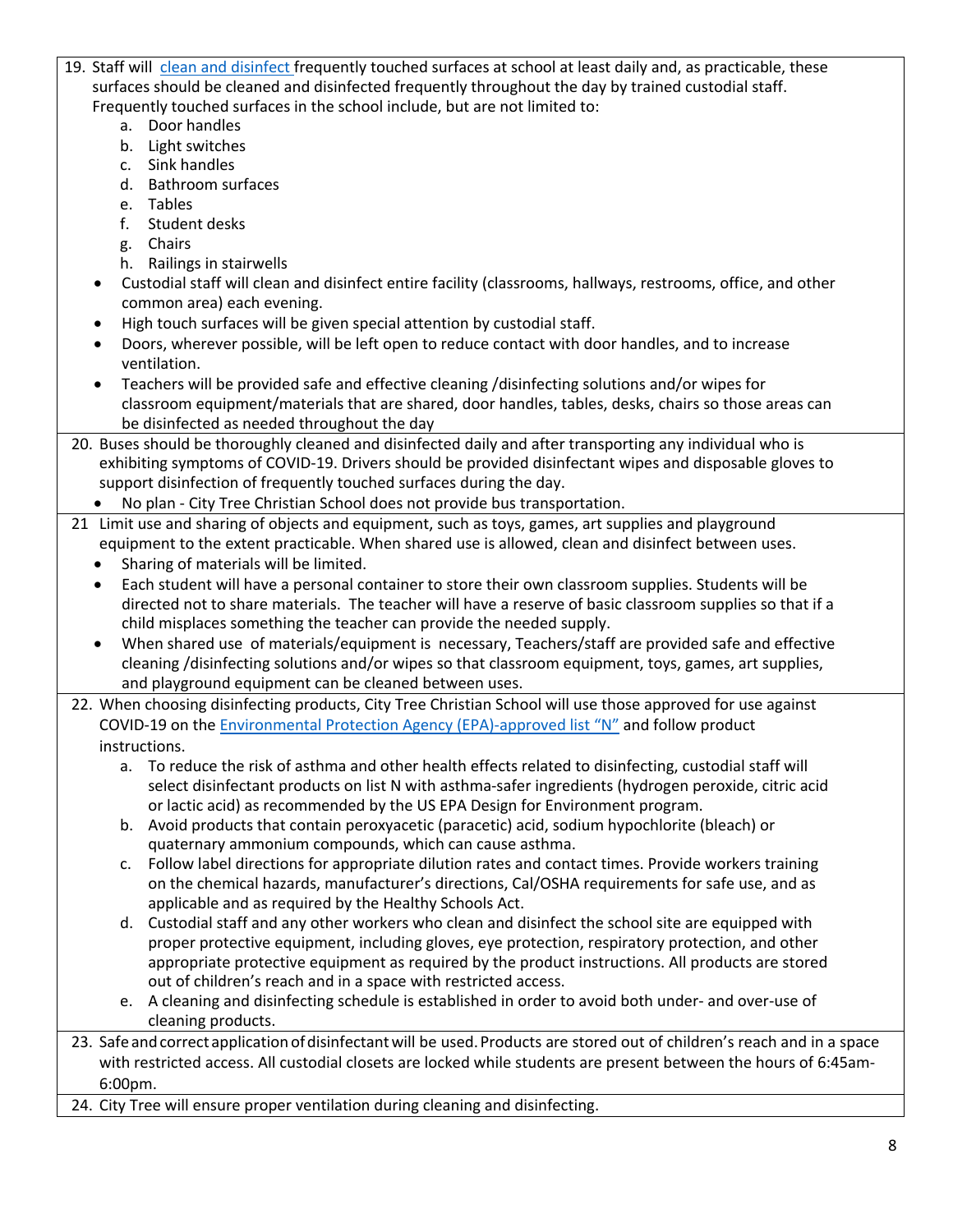- 19. Staff will clean and disinfect frequently touched surfaces at school at least daily and, as practicable, these surfaces should be cleaned and disinfected frequently throughout the day by trained custodial staff. Frequently touched surfaces in the school include, but are not limited to:
	- a. Door handles
	- b. Light switches
	- c. Sink handles
	- d. Bathroom surfaces
	- e. Tables
	- f. Student desks
	- g. Chairs
	- h. Railings in stairwells
	- Custodial staff will clean and disinfect entire facility (classrooms, hallways, restrooms, office, and other common area) each evening.
	- High touch surfaces will be given special attention by custodial staff.
	- Doors, wherever possible, will be left open to reduce contact with door handles, and to increase ventilation.
	- Teachers will be provided safe and effective cleaning /disinfecting solutions and/or wipes for classroom equipment/materials that are shared, door handles, tables, desks, chairs so those areas can be disinfected as needed throughout the day
- 20. Buses should be thoroughly cleaned and disinfected daily and after transporting any individual who is exhibiting symptoms of COVID-19. Drivers should be provided disinfectant wipes and disposable gloves to support disinfection of frequently touched surfaces during the day.
	- No plan City Tree Christian School does not provide bus transportation.
- 21 Limit use and sharing of objects and equipment, such as toys, games, art supplies and playground equipment to the extent practicable. When shared use is allowed, clean and disinfect between uses.
	- Sharing of materials will be limited.
	- Each student will have a personal container to store their own classroom supplies. Students will be directed not to share materials. The teacher will have a reserve of basic classroom supplies so that if a child misplaces something the teacher can provide the needed supply.
	- When shared use of materials/equipment is necessary, Teachers/staff are provided safe and effective cleaning /disinfecting solutions and/or wipes so that classroom equipment, toys, games, art supplies, and playground equipment can be cleaned between uses.
- 22. When choosing disinfecting products, City Tree Christian School will use those approved for use against COVID-19 on the Environmental Protection Agency (EPA)-approved list "N" and follow product instructions.
	- a. To reduce the risk of asthma and other health effects related to disinfecting, custodial staff will select disinfectant products on list N with asthma-safer ingredients (hydrogen peroxide, citric acid or lactic acid) as recommended by the US EPA Design for Environment program.
	- b. Avoid products that contain peroxyacetic (paracetic) acid, sodium hypochlorite (bleach) or quaternary ammonium compounds, which can cause asthma.
	- c. Follow label directions for appropriate dilution rates and contact times. Provide workers training on the chemical hazards, manufacturer's directions, Cal/OSHA requirements for safe use, and as applicable and as required by the Healthy Schools Act.
	- d. Custodial staff and any other workers who clean and disinfect the school site are equipped with proper protective equipment, including gloves, eye protection, respiratory protection, and other appropriate protective equipment as required by the product instructions. All products are stored out of children's reach and in a space with restricted access.
	- e. A cleaning and disinfecting schedule is established in order to avoid both under- and over-use of cleaning products.
- 23. Safe and correct application of disinfectant will be used. Products are stored out of children's reach and in a space with restricted access. All custodial closets are locked while students are present between the hours of 6:45am-6:00pm.
- 24. City Tree will ensure proper ventilation during cleaning and disinfecting.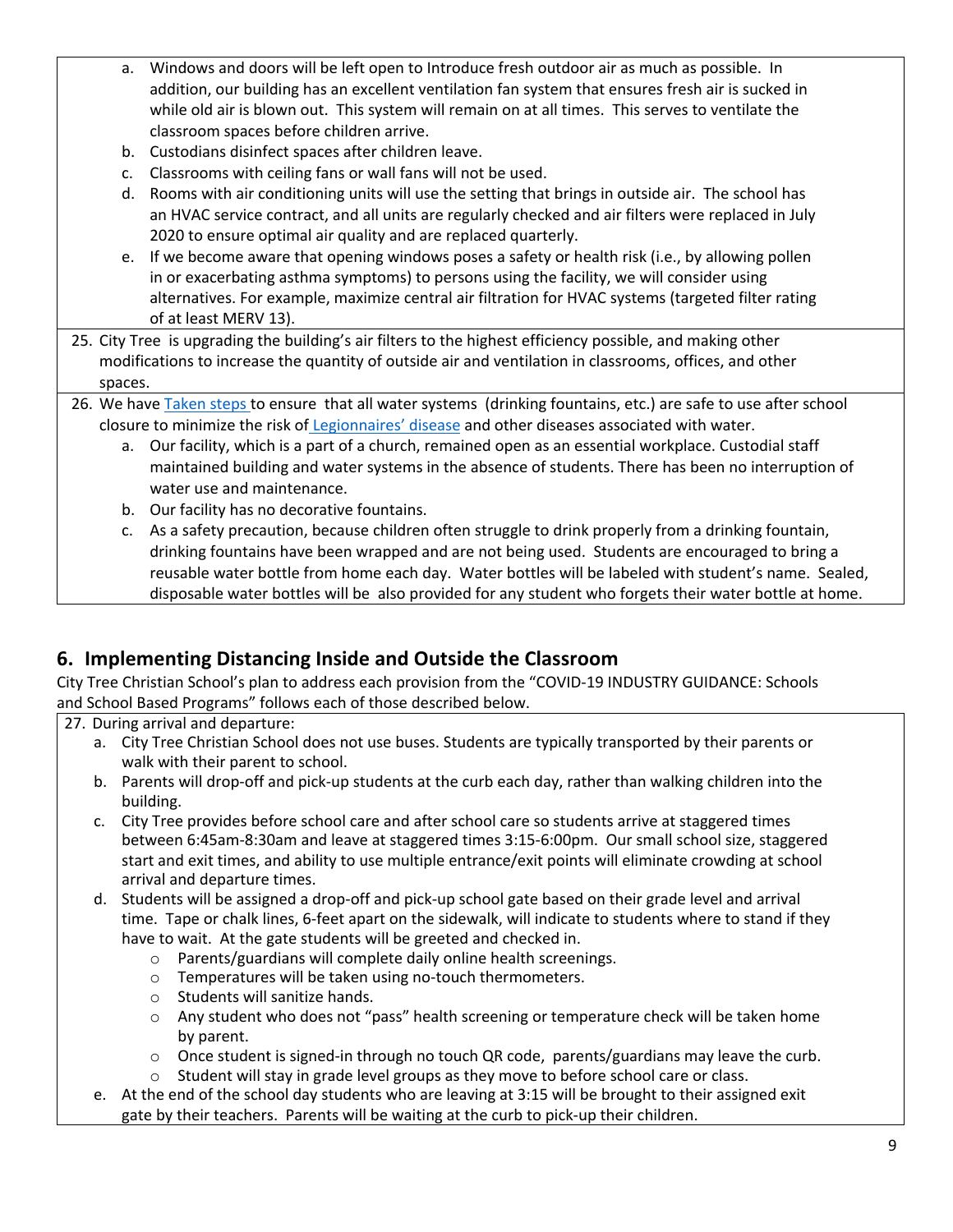- a. Windows and doors will be left open to Introduce fresh outdoor air as much as possible. In addition, our building has an excellent ventilation fan system that ensures fresh air is sucked in while old air is blown out. This system will remain on at all times. This serves to ventilate the classroom spaces before children arrive.
- b. Custodians disinfect spaces after children leave.
- c. Classrooms with ceiling fans or wall fans will not be used.
- d. Rooms with air conditioning units will use the setting that brings in outside air. The school has an HVAC service contract, and all units are regularly checked and air filters were replaced in July 2020 to ensure optimal air quality and are replaced quarterly.
- e. If we become aware that opening windows poses a safety or health risk (i.e., by allowing pollen in or exacerbating asthma symptoms) to persons using the facility, we will consider using alternatives. For example, maximize central air filtration for HVAC systems (targeted filter rating of at least MERV 13).
- 25. City Tree is upgrading the building's air filters to the highest efficiency possible, and making other modifications to increase the quantity of outside air and ventilation in classrooms, offices, and other spaces.
- 26. We have Taken steps to ensure that all water systems (drinking fountains, etc.) are safe to use after school closure to minimize the risk of Legionnaires' disease and other diseases associated with water.
	- a. Our facility, which is a part of a church, remained open as an essential workplace. Custodial staff maintained building and water systems in the absence of students. There has been no interruption of water use and maintenance.
	- b. Our facility has no decorative fountains.
	- c. As a safety precaution, because children often struggle to drink properly from a drinking fountain, drinking fountains have been wrapped and are not being used. Students are encouraged to bring a reusable water bottle from home each day. Water bottles will be labeled with student's name. Sealed, disposable water bottles will be also provided for any student who forgets their water bottle at home.

## **6. Implementing Distancing Inside and Outside the Classroom**

City Tree Christian School's plan to address each provision from the "COVID-19 INDUSTRY GUIDANCE: Schools and School Based Programs" follows each of those described below.

27. During arrival and departure:

- a. City Tree Christian School does not use buses. Students are typically transported by their parents or walk with their parent to school.
- b. Parents will drop-off and pick-up students at the curb each day, rather than walking children into the building.
- c. City Tree provides before school care and after school care so students arrive at staggered times between 6:45am-8:30am and leave at staggered times 3:15-6:00pm. Our small school size, staggered start and exit times, and ability to use multiple entrance/exit points will eliminate crowding at school arrival and departure times.
- d. Students will be assigned a drop-off and pick-up school gate based on their grade level and arrival time. Tape or chalk lines, 6-feet apart on the sidewalk, will indicate to students where to stand if they have to wait. At the gate students will be greeted and checked in.
	- o Parents/guardians will complete daily online health screenings.
	- o Temperatures will be taken using no-touch thermometers.
	- o Students will sanitize hands.
	- o Any student who does not "pass" health screening or temperature check will be taken home by parent.
	- $\circ$  Once student is signed-in through no touch QR code, parents/guardians may leave the curb.
	- $\circ$  Student will stay in grade level groups as they move to before school care or class.
- e. At the end of the school day students who are leaving at 3:15 will be brought to their assigned exit gate by their teachers. Parents will be waiting at the curb to pick-up their children.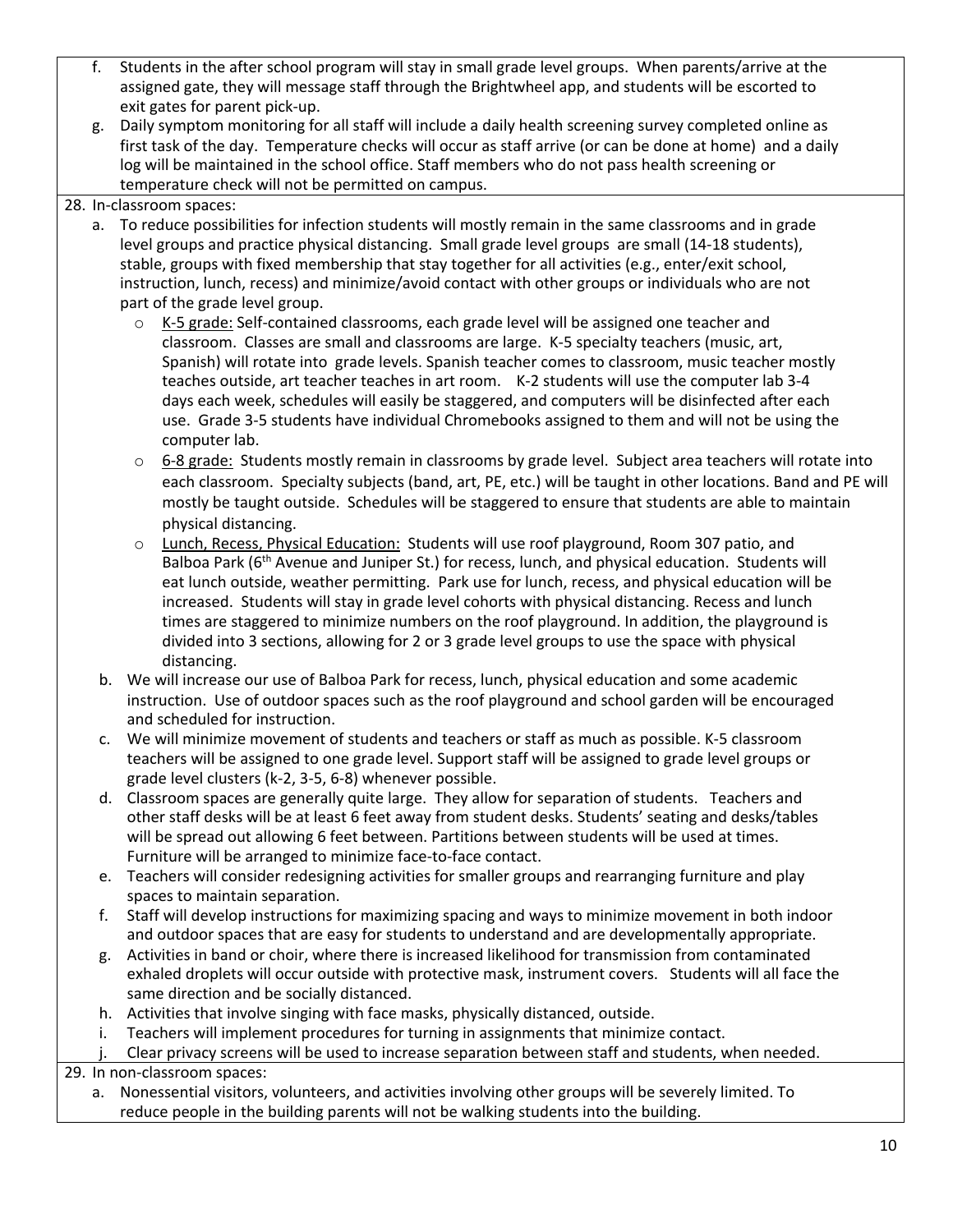- f. Students in the after school program will stay in small grade level groups. When parents/arrive at the assigned gate, they will message staff through the Brightwheel app, and students will be escorted to exit gates for parent pick-up.
- g. Daily symptom monitoring for all staff will include a daily health screening survey completed online as first task of the day. Temperature checks will occur as staff arrive (or can be done at home) and a daily log will be maintained in the school office. Staff members who do not pass health screening or temperature check will not be permitted on campus.

#### 28. In-classroom spaces:

- a. To reduce possibilities for infection students will mostly remain in the same classrooms and in grade level groups and practice physical distancing. Small grade level groups are small (14-18 students), stable, groups with fixed membership that stay together for all activities (e.g., enter/exit school, instruction, lunch, recess) and minimize/avoid contact with other groups or individuals who are not part of the grade level group.
	- $\circ$  K-5 grade: Self-contained classrooms, each grade level will be assigned one teacher and classroom. Classes are small and classrooms are large. K-5 specialty teachers (music, art, Spanish) will rotate into grade levels. Spanish teacher comes to classroom, music teacher mostly teaches outside, art teacher teaches in art room. K-2 students will use the computer lab 3-4 days each week, schedules will easily be staggered, and computers will be disinfected after each use. Grade 3-5 students have individual Chromebooks assigned to them and will not be using the computer lab.
	- o 6-8 grade: Students mostly remain in classrooms by grade level. Subject area teachers will rotate into each classroom. Specialty subjects (band, art, PE, etc.) will be taught in other locations. Band and PE will mostly be taught outside. Schedules will be staggered to ensure that students are able to maintain physical distancing.
	- o Lunch, Recess, Physical Education: Students will use roof playground, Room 307 patio, and Balboa Park (6<sup>th</sup> Avenue and Juniper St.) for recess, lunch, and physical education. Students will eat lunch outside, weather permitting. Park use for lunch, recess, and physical education will be increased. Students will stay in grade level cohorts with physical distancing. Recess and lunch times are staggered to minimize numbers on the roof playground. In addition, the playground is divided into 3 sections, allowing for 2 or 3 grade level groups to use the space with physical distancing.
	- b. We will increase our use of Balboa Park for recess, lunch, physical education and some academic instruction. Use of outdoor spaces such as the roof playground and school garden will be encouraged and scheduled for instruction.
	- c. We will minimize movement of students and teachers or staff as much as possible. K-5 classroom teachers will be assigned to one grade level. Support staff will be assigned to grade level groups or grade level clusters (k-2, 3-5, 6-8) whenever possible.
	- d. Classroom spaces are generally quite large. They allow for separation of students. Teachers and other staff desks will be at least 6 feet away from student desks. Students' seating and desks/tables will be spread out allowing 6 feet between. Partitions between students will be used at times. Furniture will be arranged to minimize face-to-face contact.
	- e. Teachers will consider redesigning activities for smaller groups and rearranging furniture and play spaces to maintain separation.
	- f. Staff will develop instructions for maximizing spacing and ways to minimize movement in both indoor and outdoor spaces that are easy for students to understand and are developmentally appropriate.
	- g. Activities in band or choir, where there is increased likelihood for transmission from contaminated exhaled droplets will occur outside with protective mask, instrument covers. Students will all face the same direction and be socially distanced.
	- h. Activities that involve singing with face masks, physically distanced, outside.
	- i. Teachers will implement procedures for turning in assignments that minimize contact.

Clear privacy screens will be used to increase separation between staff and students, when needed.

29. In non-classroom spaces:

a. Nonessential visitors, volunteers, and activities involving other groups will be severely limited. To reduce people in the building parents will not be walking students into the building.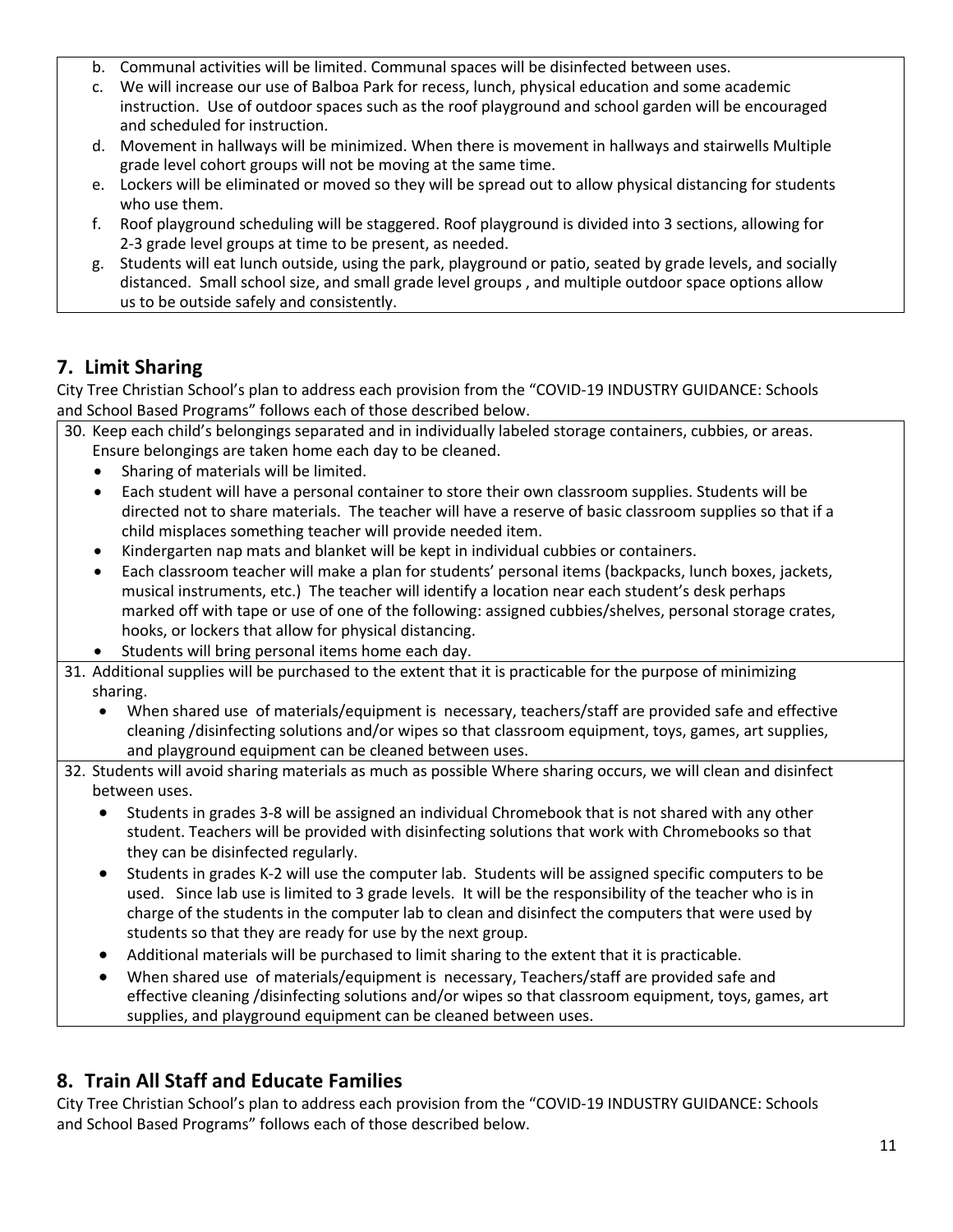- b. Communal activities will be limited. Communal spaces will be disinfected between uses.
- c. We will increase our use of Balboa Park for recess, lunch, physical education and some academic instruction. Use of outdoor spaces such as the roof playground and school garden will be encouraged and scheduled for instruction.
- d. Movement in hallways will be minimized. When there is movement in hallways and stairwells Multiple grade level cohort groups will not be moving at the same time.
- e. Lockers will be eliminated or moved so they will be spread out to allow physical distancing for students who use them.
- f. Roof playground scheduling will be staggered. Roof playground is divided into 3 sections, allowing for 2-3 grade level groups at time to be present, as needed.
- g. Students will eat lunch outside, using the park, playground or patio, seated by grade levels, and socially distanced. Small school size, and small grade level groups , and multiple outdoor space options allow us to be outside safely and consistently.

## **7. Limit Sharing**

City Tree Christian School's plan to address each provision from the "COVID-19 INDUSTRY GUIDANCE: Schools and School Based Programs" follows each of those described below.

- 30. Keep each child's belongings separated and in individually labeled storage containers, cubbies, or areas. Ensure belongings are taken home each day to be cleaned.
	- Sharing of materials will be limited.
	- Each student will have a personal container to store their own classroom supplies. Students will be directed not to share materials. The teacher will have a reserve of basic classroom supplies so that if a child misplaces something teacher will provide needed item.
	- Kindergarten nap mats and blanket will be kept in individual cubbies or containers.
	- Each classroom teacher will make a plan for students' personal items (backpacks, lunch boxes, jackets, musical instruments, etc.) The teacher will identify a location near each student's desk perhaps marked off with tape or use of one of the following: assigned cubbies/shelves, personal storage crates, hooks, or lockers that allow for physical distancing.
	- Students will bring personal items home each day.
- 31. Additional supplies will be purchased to the extent that it is practicable for the purpose of minimizing sharing.
	- When shared use of materials/equipment is necessary, teachers/staff are provided safe and effective cleaning /disinfecting solutions and/or wipes so that classroom equipment, toys, games, art supplies, and playground equipment can be cleaned between uses.
- 32. Students will avoid sharing materials as much as possible Where sharing occurs, we will clean and disinfect between uses.
	- Students in grades 3-8 will be assigned an individual Chromebook that is not shared with any other student. Teachers will be provided with disinfecting solutions that work with Chromebooks so that they can be disinfected regularly.
	- Students in grades K-2 will use the computer lab. Students will be assigned specific computers to be used. Since lab use is limited to 3 grade levels. It will be the responsibility of the teacher who is in charge of the students in the computer lab to clean and disinfect the computers that were used by students so that they are ready for use by the next group.
	- Additional materials will be purchased to limit sharing to the extent that it is practicable.
	- When shared use of materials/equipment is necessary, Teachers/staff are provided safe and effective cleaning /disinfecting solutions and/or wipes so that classroom equipment, toys, games, art supplies, and playground equipment can be cleaned between uses.

## **8. Train All Staff and Educate Families**

City Tree Christian School's plan to address each provision from the "COVID-19 INDUSTRY GUIDANCE: Schools and School Based Programs" follows each of those described below.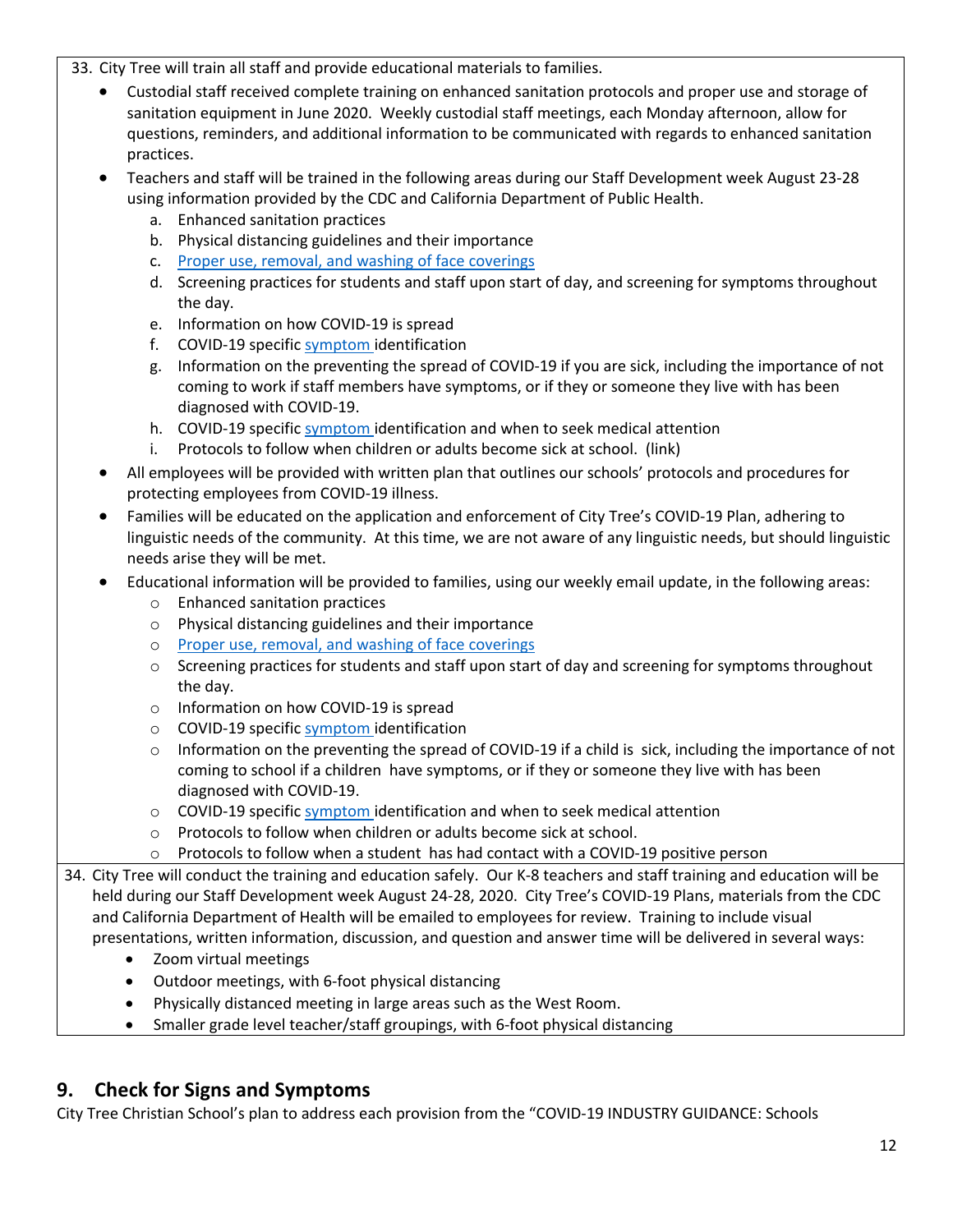- 33. City Tree will train all staff and provide educational materials to families.
	- Custodial staff received complete training on enhanced sanitation protocols and proper use and storage of sanitation equipment in June 2020. Weekly custodial staff meetings, each Monday afternoon, allow for questions, reminders, and additional information to be communicated with regards to enhanced sanitation practices.
	- Teachers and staff will be trained in the following areas during our Staff Development week August 23-28 using information provided by the CDC and California Department of Public Health.
		- a. Enhanced sanitation practices
		- b. Physical distancing guidelines and their importance
		- c. Proper use, removal, and washing of face coverings
		- d. Screening practices for students and staff upon start of day, and screening for symptoms throughout the day.
		- e. Information on how COVID-19 is spread
		- f. COVID-19 specific symptom identification
		- g. Information on the preventing the spread of COVID-19 if you are sick, including the importance of not coming to work if staff members have symptoms, or if they or someone they live with has been diagnosed with COVID-19.
		- h. COVID-19 specific symptom identification and when to seek medical attention
		- i. Protocols to follow when children or adults become sick at school. (link)
	- All employees will be provided with written plan that outlines our schools' protocols and procedures for protecting employees from COVID-19 illness.
	- Families will be educated on the application and enforcement of City Tree's COVID-19 Plan, adhering to linguistic needs of the community. At this time, we are not aware of any linguistic needs, but should linguistic needs arise they will be met.
	- Educational information will be provided to families, using our weekly email update, in the following areas:
		- o Enhanced sanitation practices
		- o Physical distancing guidelines and their importance
		- o Proper use, removal, and washing of face coverings
		- $\circ$  Screening practices for students and staff upon start of day and screening for symptoms throughout the day.
		- o Information on how COVID-19 is spread
		- o COVID-19 specific symptom identification
		- $\circ$  Information on the preventing the spread of COVID-19 if a child is sick, including the importance of not coming to school if a children have symptoms, or if they or someone they live with has been diagnosed with COVID-19.
		- o COVID-19 specific symptom identification and when to seek medical attention
		- o Protocols to follow when children or adults become sick at school.
		- $\circ$  Protocols to follow when a student has had contact with a COVID-19 positive person

34. City Tree will conduct the training and education safely. Our K-8 teachers and staff training and education will be held during our Staff Development week August 24-28, 2020. City Tree's COVID-19 Plans, materials from the CDC and California Department of Health will be emailed to employees for review. Training to include visual presentations, written information, discussion, and question and answer time will be delivered in several ways:

- Zoom virtual meetings
- Outdoor meetings, with 6-foot physical distancing
- Physically distanced meeting in large areas such as the West Room.
- Smaller grade level teacher/staff groupings, with 6-foot physical distancing

## **9. Check for Signs and Symptoms**

City Tree Christian School's plan to address each provision from the "COVID-19 INDUSTRY GUIDANCE: Schools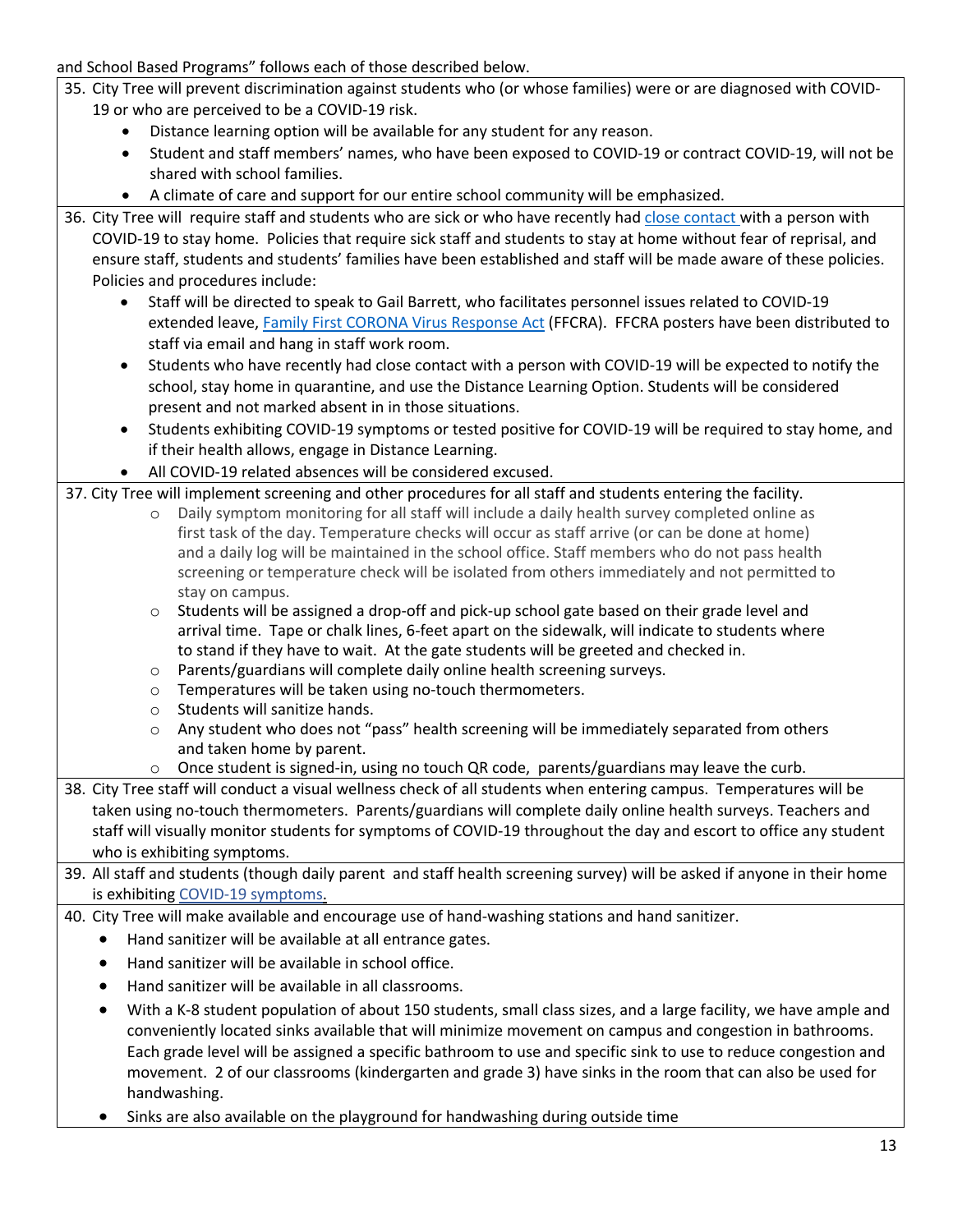- and School Based Programs" follows each of those described below. 35. City Tree will prevent discrimination against students who (or whose families) were or are diagnosed with COVID-19 or who are perceived to be a COVID-19 risk. • Distance learning option will be available for any student for any reason. • Student and staff members' names, who have been exposed to COVID-19 or contract COVID-19, will not be shared with school families. • A climate of care and support for our entire school community will be emphasized. 36. City Tree will require staff and students who are sick or who have recently had close contact with a person with COVID-19 to stay home. Policies that require sick staff and students to stay at home without fear of reprisal, and ensure staff, students and students' families have been established and staff will be made aware of these policies. Policies and procedures include: • Staff will be directed to speak to Gail Barrett, who facilitates personnel issues related to COVID-19 extended leave, Family First CORONA Virus Response Act (FFCRA). FFCRA posters have been distributed to staff via email and hang in staff work room. • Students who have recently had close contact with a person with COVID-19 will be expected to notify the school, stay home in quarantine, and use the Distance Learning Option. Students will be considered present and not marked absent in in those situations. • Students exhibiting COVID-19 symptoms or tested positive for COVID-19 will be required to stay home, and if their health allows, engage in Distance Learning. • All COVID-19 related absences will be considered excused. 37. City Tree will implement screening and other procedures for all staff and students entering the facility. o Daily symptom monitoring for all staff will include a daily health survey completed online as first task of the day. Temperature checks will occur as staff arrive (or can be done at home) and a daily log will be maintained in the school office. Staff members who do not pass health screening or temperature check will be isolated from others immediately and not permitted to stay on campus.  $\circ$  Students will be assigned a drop-off and pick-up school gate based on their grade level and arrival time. Tape or chalk lines, 6-feet apart on the sidewalk, will indicate to students where to stand if they have to wait. At the gate students will be greeted and checked in. o Parents/guardians will complete daily online health screening surveys. o Temperatures will be taken using no-touch thermometers. o Students will sanitize hands.  $\circ$  Any student who does not "pass" health screening will be immediately separated from others and taken home by parent. o Once student is signed-in, using no touch QR code, parents/guardians may leave the curb. 38. City Tree staff will conduct a visual wellness check of all students when entering campus. Temperatures will be taken using no-touch thermometers. Parents/guardians will complete daily online health surveys. Teachers and staff will visually monitor students for symptoms of COVID-19 throughout the day and escort to office any student who is exhibiting symptoms. 39. All staff and students (though daily parent and staff health screening survey) will be asked if anyone in their home is exhibiting COVID-19 symptoms. 40. City Tree will make available and encourage use of hand-washing stations and hand sanitizer. • Hand sanitizer will be available at all entrance gates. • Hand sanitizer will be available in school office. • Hand sanitizer will be available in all classrooms.
	- With a K-8 student population of about 150 students, small class sizes, and a large facility, we have ample and conveniently located sinks available that will minimize movement on campus and congestion in bathrooms. Each grade level will be assigned a specific bathroom to use and specific sink to use to reduce congestion and movement. 2 of our classrooms (kindergarten and grade 3) have sinks in the room that can also be used for handwashing.
	- Sinks are also available on the playground for handwashing during outside time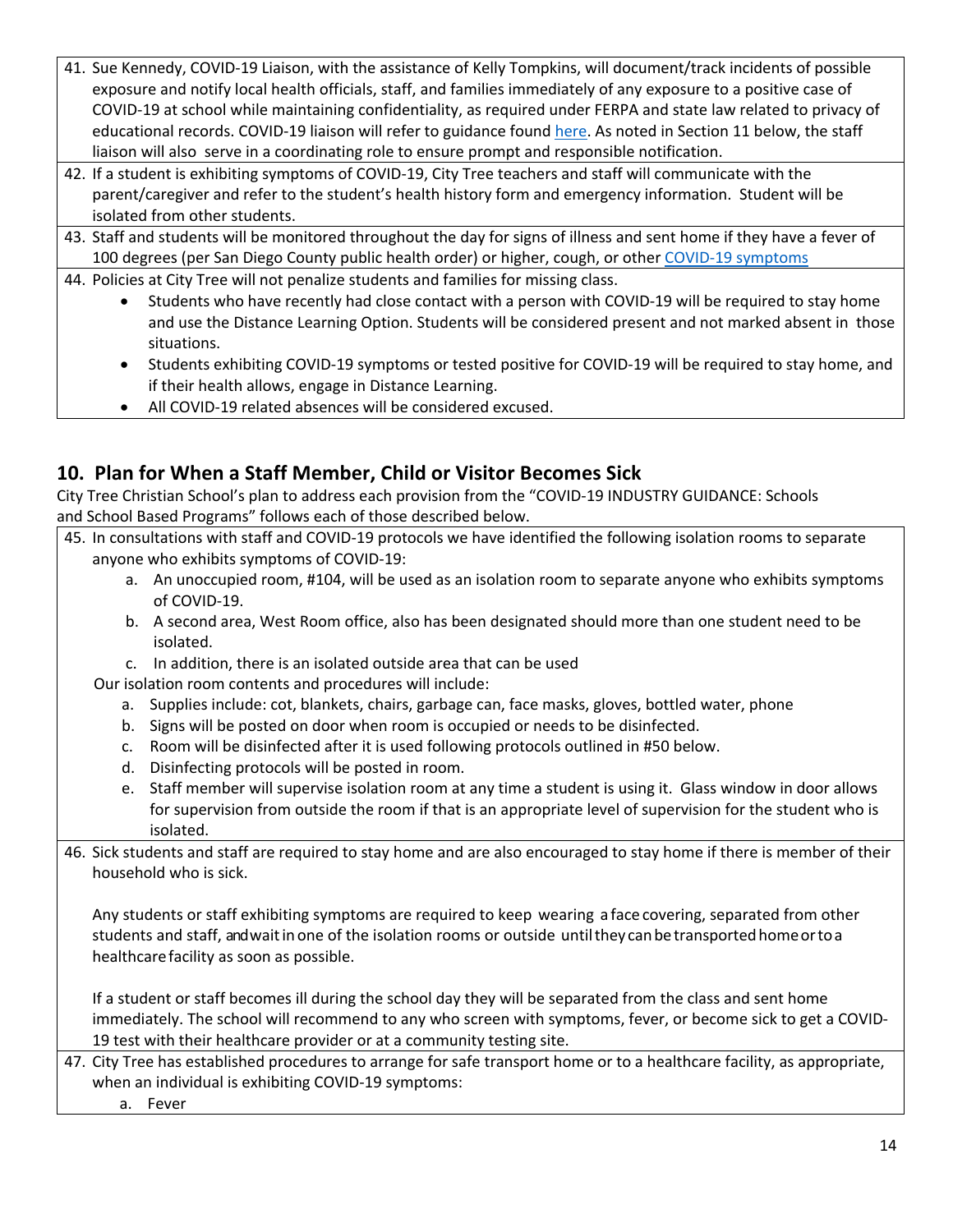- 41. Sue Kennedy, COVID-19 Liaison, with the assistance of Kelly Tompkins, will document/track incidents of possible exposure and notify local health officials, staff, and families immediately of any exposure to a positive case of COVID-19 at school while maintaining confidentiality, as required under FERPA and state law related to privacy of educational records. COVID-19 liaison will refer to guidance found here. As noted in Section 11 below, the staff liaison will also serve in a coordinating role to ensure prompt and responsible notification.
- 42. If a student is exhibiting symptoms of COVID-19, City Tree teachers and staff will communicate with the parent/caregiver and refer to the student's health history form and emergency information. Student will be isolated from other students.
- 43. Staff and students will be monitored throughout the day for signs of illness and sent home if they have a fever of 100 degrees (per San Diego County public health order) or higher, cough, or other COVID-19 symptoms
- 44. Policies at City Tree will not penalize students and families for missing class.
	- Students who have recently had close contact with a person with COVID-19 will be required to stay home and use the Distance Learning Option. Students will be considered present and not marked absent in those situations.
	- Students exhibiting COVID-19 symptoms or tested positive for COVID-19 will be required to stay home, and if their health allows, engage in Distance Learning.
	- All COVID-19 related absences will be considered excused.

## **10. Plan for When a Staff Member, Child or Visitor Becomes Sick**

City Tree Christian School's plan to address each provision from the "COVID-19 INDUSTRY GUIDANCE: Schools and School Based Programs" follows each of those described below.

- 45. In consultations with staff and COVID-19 protocols we have identified the following isolation rooms to separate anyone who exhibits symptoms of COVID-19:
	- a. An unoccupied room, #104, will be used as an isolation room to separate anyone who exhibits symptoms of COVID-19.
	- b. A second area, West Room office, also has been designated should more than one student need to be isolated.
	- c. In addition, there is an isolated outside area that can be used

Our isolation room contents and procedures will include:

- a. Supplies include: cot, blankets, chairs, garbage can, face masks, gloves, bottled water, phone
- b. Signs will be posted on door when room is occupied or needs to be disinfected.
- c. Room will be disinfected after it is used following protocols outlined in #50 below.
- d. Disinfecting protocols will be posted in room.
- e. Staff member will supervise isolation room at any time a student is using it. Glass window in door allows for supervision from outside the room if that is an appropriate level of supervision for the student who is isolated.
- 46. Sick students and staff are required to stay home and are also encouraged to stay home if there is member of their household who is sick.

Any students or staff exhibiting symptoms are required to keep wearing a face covering, separated from other students and staff, andwait in one of the isolation rooms or outside until they can be transported home or toa healthcarefacility as soon as possible.

If a student or staff becomes ill during the school day they will be separated from the class and sent home immediately. The school will recommend to any who screen with symptoms, fever, or become sick to get a COVID-19 test with their healthcare provider or at a community testing site.

47. City Tree has established procedures to arrange for safe transport home or to a healthcare facility, as appropriate, when an individual is exhibiting COVID-19 symptoms:

a. Fever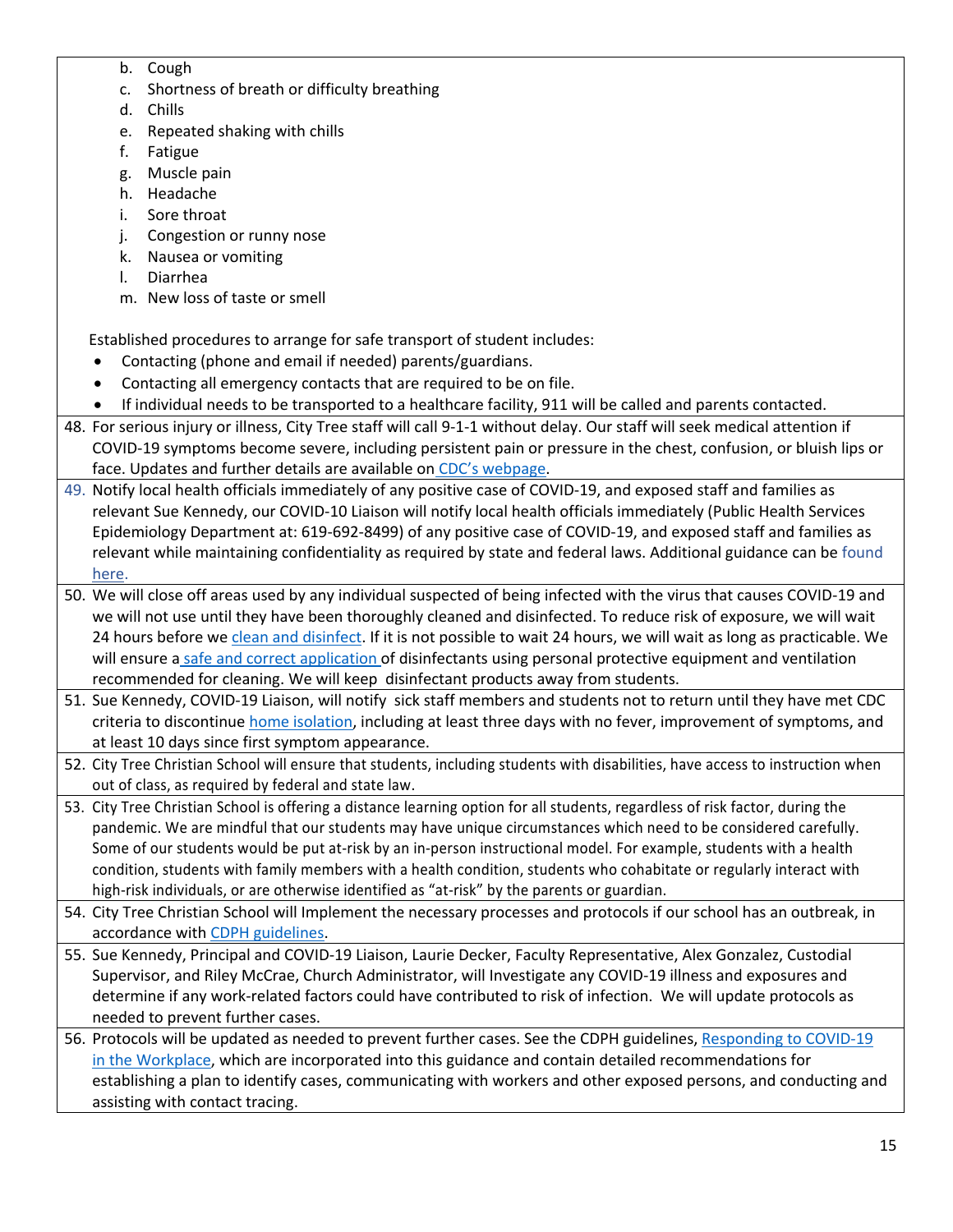- b. Cough
- c. Shortness of breath or difficulty breathing
- d. Chills
- e. Repeated shaking with chills
- f. Fatigue
- g. Muscle pain
- h. Headache
- i. Sore throat
- j. Congestion or runny nose
- k. Nausea or vomiting
- l. Diarrhea
- m. New loss of taste or smell

Established procedures to arrange for safe transport of student includes:

- Contacting (phone and email if needed) parents/guardians.
- Contacting all emergency contacts that are required to be on file.
- If individual needs to be transported to a healthcare facility, 911 will be called and parents contacted.
- 48. For serious injury or illness, City Tree staff will call 9-1-1 without delay. Our staff will seek medical attention if COVID-19 symptoms become severe, including persistent pain or pressure in the chest, confusion, or bluish lips or face. Updates and further details are available on CDC's webpage.
- 49. Notify local health officials immediately of any positive case of COVID-19, and exposed staff and families as relevant Sue Kennedy, our COVID-10 Liaison will notify local health officials immediately (Public Health Services Epidemiology Department at: 619-692-8499) of any positive case of COVID-19, and exposed staff and families as relevant while maintaining confidentiality as required by state and federal laws. Additional guidance can be found here.
- 50. We will close off areas used by any individual suspected of being infected with the virus that causes COVID-19 and we will not use until they have been thoroughly cleaned and disinfected. To reduce risk of exposure, we will wait 24 hours before we clean and disinfect. If it is not possible to wait 24 hours, we will wait as long as practicable. We will ensure a safe and correct application of disinfectants using personal protective equipment and ventilation recommended for cleaning. We will keep disinfectant products away from students.
- 51. Sue Kennedy, COVID-19 Liaison, will notify sick staff members and students not to return until they have met CDC criteria to discontinue home isolation, including at least three days with no fever, improvement of symptoms, and at least 10 days since first symptom appearance.
- 52. City Tree Christian School will ensure that students, including students with disabilities, have access to instruction when out of class, as required by federal and state law.
- 53. City Tree Christian School is offering a distance learning option for all students, regardless of risk factor, during the pandemic. We are mindful that our students may have unique circumstances which need to be considered carefully. Some of our students would be put at-risk by an in-person instructional model. For example, students with a health condition, students with family members with a health condition, students who cohabitate or regularly interact with high-risk individuals, or are otherwise identified as "at-risk" by the parents or guardian.
- 54. City Tree Christian School will Implement the necessary processes and protocols if our school has an outbreak, in accordance with CDPH guidelines.
- 55. Sue Kennedy, Principal and COVID-19 Liaison, Laurie Decker, Faculty Representative, Alex Gonzalez, Custodial Supervisor, and Riley McCrae, Church Administrator, will Investigate any COVID-19 illness and exposures and determine if any work-related factors could have contributed to risk of infection. We will update protocols as needed to prevent further cases.
- 56. Protocols will be updated as needed to prevent further cases. See the CDPH guidelines, Responding to COVID-19 in the Workplace, which are incorporated into this guidance and contain detailed recommendations for establishing a plan to identify cases, communicating with workers and other exposed persons, and conducting and assisting with contact tracing.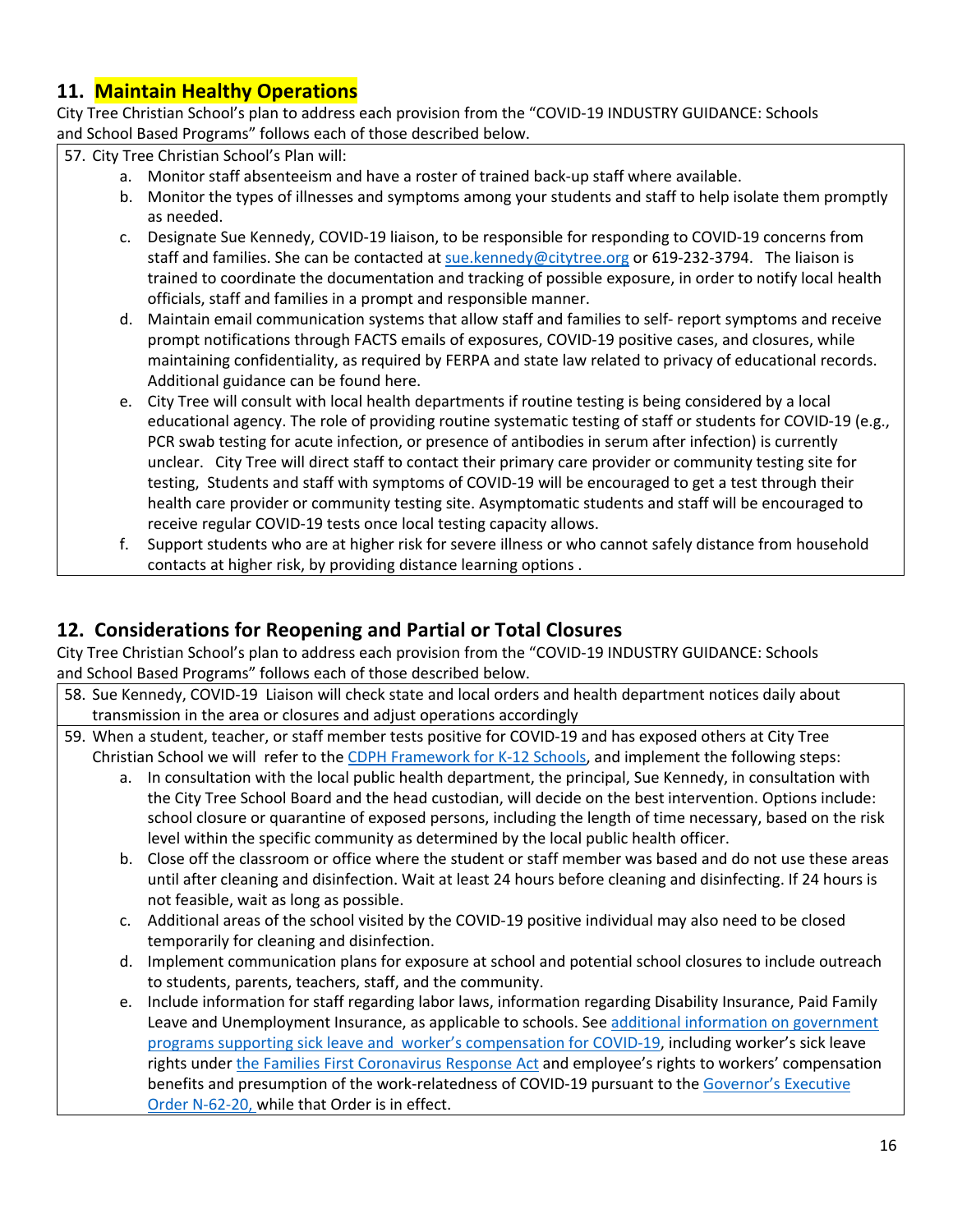# **11. Maintain Healthy Operations**

City Tree Christian School's plan to address each provision from the "COVID-19 INDUSTRY GUIDANCE: Schools and School Based Programs" follows each of those described below.

57. City Tree Christian School's Plan will:

- a. Monitor staff absenteeism and have a roster of trained back-up staff where available.
- b. Monitor the types of illnesses and symptoms among your students and staff to help isolate them promptly as needed.
- c. Designate Sue Kennedy, COVID-19 liaison, to be responsible for responding to COVID-19 concerns from staff and families. She can be contacted at sue.kennedy@citytree.org or 619-232-3794. The liaison is trained to coordinate the documentation and tracking of possible exposure, in order to notify local health officials, staff and families in a prompt and responsible manner.
- d. Maintain email communication systems that allow staff and families to self- report symptoms and receive prompt notifications through FACTS emails of exposures, COVID-19 positive cases, and closures, while maintaining confidentiality, as required by FERPA and state law related to privacy of educational records. Additional guidance can be found here.
- e. City Tree will consult with local health departments if routine testing is being considered by a local educational agency. The role of providing routine systematic testing of staff or students for COVID-19 (e.g., PCR swab testing for acute infection, or presence of antibodies in serum after infection) is currently unclear. City Tree will direct staff to contact their primary care provider or community testing site for testing, Students and staff with symptoms of COVID-19 will be encouraged to get a test through their health care provider or community testing site. Asymptomatic students and staff will be encouraged to receive regular COVID-19 tests once local testing capacity allows.
- f. Support students who are at higher risk for severe illness or who cannot safely distance from household contacts at higher risk, by providing distance learning options .

## **12. Considerations for Reopening and Partial or Total Closures**

City Tree Christian School's plan to address each provision from the "COVID-19 INDUSTRY GUIDANCE: Schools and School Based Programs" follows each of those described below.

- 58. Sue Kennedy, COVID-19 Liaison will check state and local orders and health department notices daily about transmission in the area or closures and adjust operations accordingly
- 59. When a student, teacher, or staff member tests positive for COVID-19 and has exposed others at City Tree Christian School we will refer to the CDPH Framework for K-12 Schools, and implement the following steps:
	- a. In consultation with the local public health department, the principal, Sue Kennedy, in consultation with the City Tree School Board and the head custodian, will decide on the best intervention. Options include: school closure or quarantine of exposed persons, including the length of time necessary, based on the risk level within the specific community as determined by the local public health officer.
	- b. Close off the classroom or office where the student or staff member was based and do not use these areas until after cleaning and disinfection. Wait at least 24 hours before cleaning and disinfecting. If 24 hours is not feasible, wait as long as possible.
	- c. Additional areas of the school visited by the COVID-19 positive individual may also need to be closed temporarily for cleaning and disinfection.
	- d. Implement communication plans for exposure at school and potential school closures to include outreach to students, parents, teachers, staff, and the community.
	- e. Include information for staff regarding labor laws, information regarding Disability Insurance, Paid Family Leave and Unemployment Insurance, as applicable to schools. See additional information on government programs supporting sick leave and worker's compensation for COVID-19, including worker's sick leave rights under the Families First Coronavirus Response Act and employee's rights to workers' compensation benefits and presumption of the work-relatedness of COVID-19 pursuant to the Governor's Executive Order N-62-20, while that Order is in effect.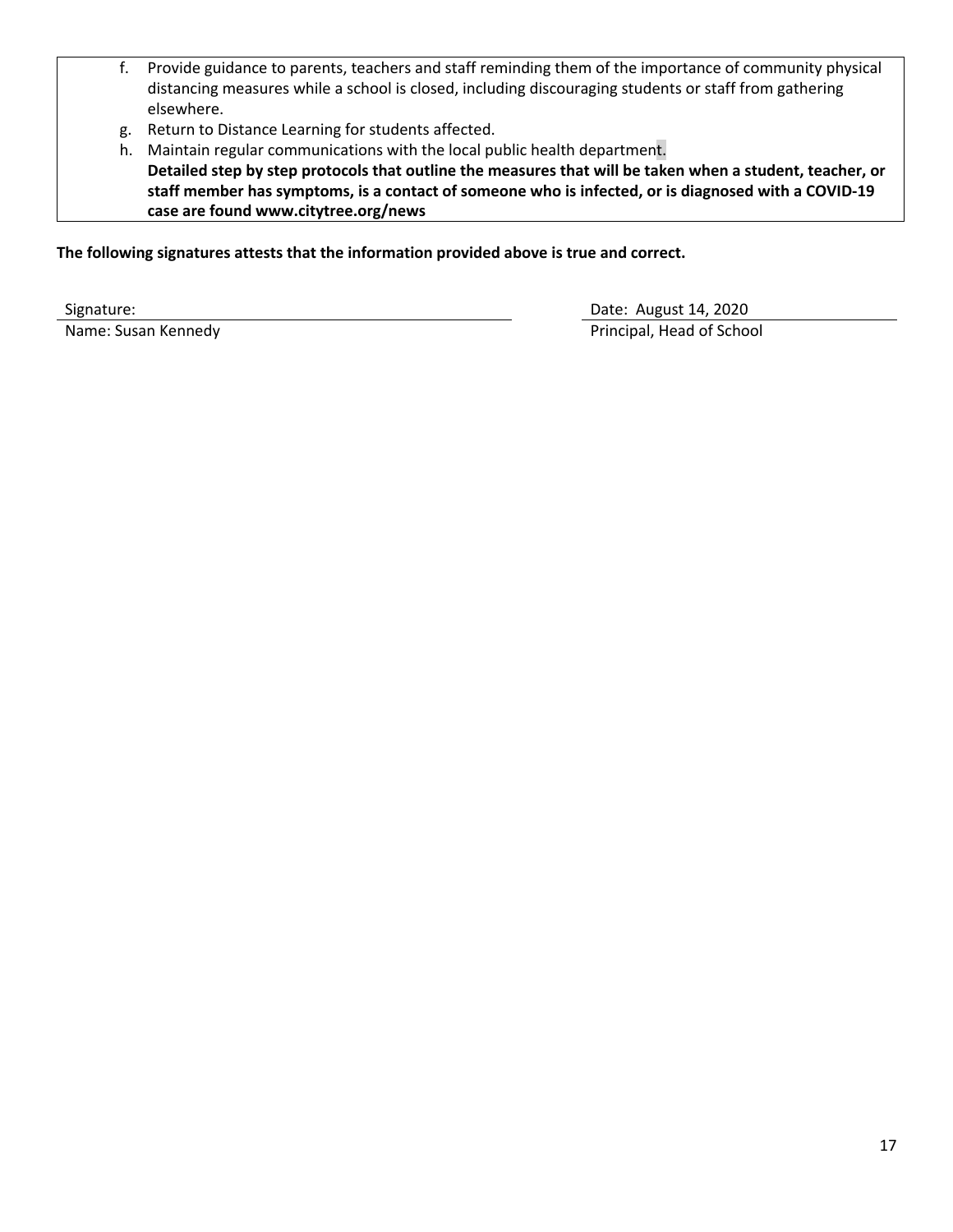- f. Provide guidance to parents, teachers and staff reminding them of the importance of community physical distancing measures while a school is closed, including discouraging students or staff from gathering elsewhere.
- g. Return to Distance Learning for students affected.
- h. Maintain regular communications with the local public health department. **Detailed step by step protocols that outline the measures that will be taken when a student, teacher, or staff member has symptoms, is a contact of someone who is infected, or is diagnosed with a COVID-19 case are found www.citytree.org/news**

**The following signatures attests that the information provided above is true and correct.**

Signature: Date: August 14, 2020 Name: Susan Kennedy **Principal**, Head of School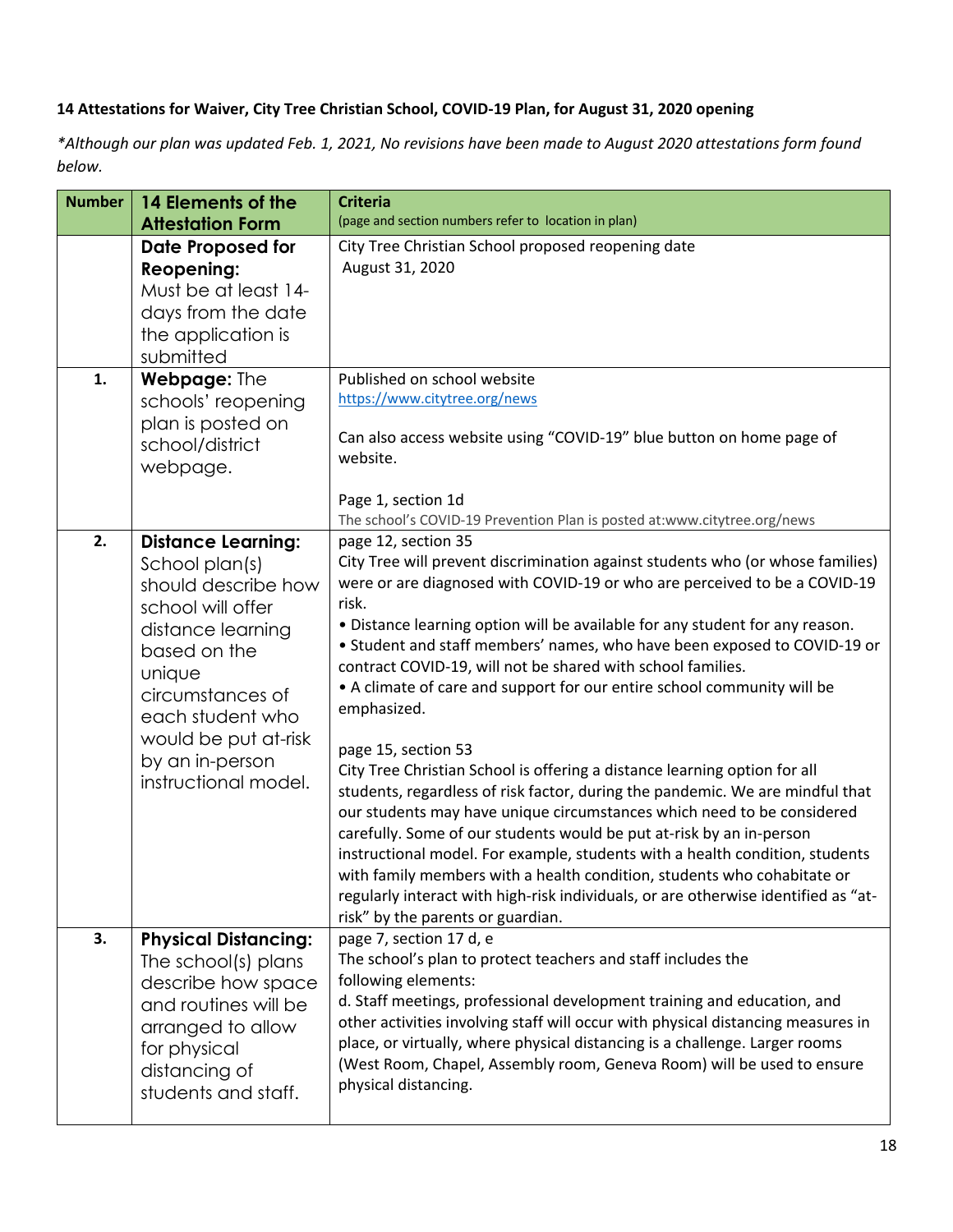#### **14 Attestations for Waiver, City Tree Christian School, COVID-19 Plan, for August 31, 2020 opening**

*\*Although our plan was updated Feb. 1, 2021, No revisions have been made to August 2020 attestations form found below.*

| <b>Number</b> | 14 Elements of the<br><b>Attestation Form</b>                                                                                                                                                                                                     | <b>Criteria</b><br>(page and section numbers refer to location in plan)                                                                                                                                                                                                                                                                                                                                                                                                                                                                                                                                                                                                                                                                                                                                                                                                                                                                                                                                                                                                                                                                       |
|---------------|---------------------------------------------------------------------------------------------------------------------------------------------------------------------------------------------------------------------------------------------------|-----------------------------------------------------------------------------------------------------------------------------------------------------------------------------------------------------------------------------------------------------------------------------------------------------------------------------------------------------------------------------------------------------------------------------------------------------------------------------------------------------------------------------------------------------------------------------------------------------------------------------------------------------------------------------------------------------------------------------------------------------------------------------------------------------------------------------------------------------------------------------------------------------------------------------------------------------------------------------------------------------------------------------------------------------------------------------------------------------------------------------------------------|
|               | <b>Date Proposed for</b><br><b>Reopening:</b><br>Must be at least 14-<br>days from the date<br>the application is<br>submitted                                                                                                                    | City Tree Christian School proposed reopening date<br>August 31, 2020                                                                                                                                                                                                                                                                                                                                                                                                                                                                                                                                                                                                                                                                                                                                                                                                                                                                                                                                                                                                                                                                         |
| 1.            | Webpage: The<br>schools' reopening<br>plan is posted on<br>school/district<br>webpage.                                                                                                                                                            | Published on school website<br>https://www.citytree.org/news<br>Can also access website using "COVID-19" blue button on home page of<br>website.<br>Page 1, section 1d<br>The school's COVID-19 Prevention Plan is posted at:www.citytree.org/news                                                                                                                                                                                                                                                                                                                                                                                                                                                                                                                                                                                                                                                                                                                                                                                                                                                                                            |
| 2.            | <b>Distance Learning:</b><br>School plan(s)<br>should describe how<br>school will offer<br>distance learning<br>based on the<br>unique<br>circumstances of<br>each student who<br>would be put at-risk<br>by an in-person<br>instructional model. | page 12, section 35<br>City Tree will prevent discrimination against students who (or whose families)<br>were or are diagnosed with COVID-19 or who are perceived to be a COVID-19<br>risk.<br>. Distance learning option will be available for any student for any reason.<br>• Student and staff members' names, who have been exposed to COVID-19 or<br>contract COVID-19, will not be shared with school families.<br>• A climate of care and support for our entire school community will be<br>emphasized.<br>page 15, section 53<br>City Tree Christian School is offering a distance learning option for all<br>students, regardless of risk factor, during the pandemic. We are mindful that<br>our students may have unique circumstances which need to be considered<br>carefully. Some of our students would be put at-risk by an in-person<br>instructional model. For example, students with a health condition, students<br>with family members with a health condition, students who cohabitate or<br>regularly interact with high-risk individuals, or are otherwise identified as "at-<br>risk" by the parents or guardian. |
| 3.            | <b>Physical Distancing:</b><br>The school(s) plans<br>describe how space<br>and routines will be<br>arranged to allow<br>for physical<br>distancing of<br>students and staff.                                                                     | page 7, section 17 d, e<br>The school's plan to protect teachers and staff includes the<br>following elements:<br>d. Staff meetings, professional development training and education, and<br>other activities involving staff will occur with physical distancing measures in<br>place, or virtually, where physical distancing is a challenge. Larger rooms<br>(West Room, Chapel, Assembly room, Geneva Room) will be used to ensure<br>physical distancing.                                                                                                                                                                                                                                                                                                                                                                                                                                                                                                                                                                                                                                                                                |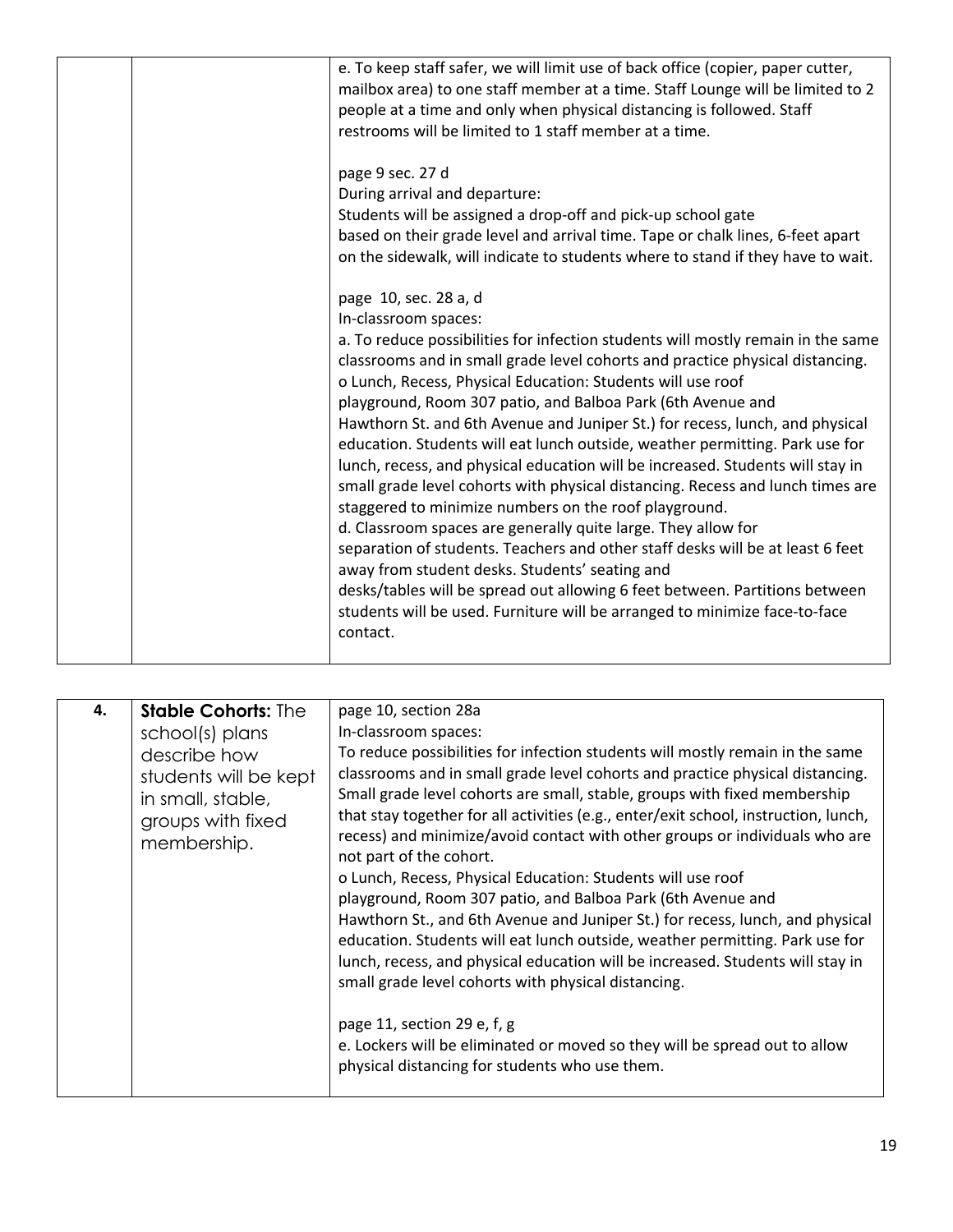| e. To keep staff safer, we will limit use of back office (copier, paper cutter,<br>mailbox area) to one staff member at a time. Staff Lounge will be limited to 2<br>people at a time and only when physical distancing is followed. Staff<br>restrooms will be limited to 1 staff member at a time.<br>page 9 sec. 27 d<br>During arrival and departure:<br>Students will be assigned a drop-off and pick-up school gate<br>based on their grade level and arrival time. Tape or chalk lines, 6-feet apart<br>on the sidewalk, will indicate to students where to stand if they have to wait.<br>page 10, sec. 28 a, d<br>In-classroom spaces:<br>a. To reduce possibilities for infection students will mostly remain in the same<br>classrooms and in small grade level cohorts and practice physical distancing.<br>o Lunch, Recess, Physical Education: Students will use roof<br>playground, Room 307 patio, and Balboa Park (6th Avenue and<br>Hawthorn St. and 6th Avenue and Juniper St.) for recess, lunch, and physical<br>education. Students will eat lunch outside, weather permitting. Park use for<br>lunch, recess, and physical education will be increased. Students will stay in<br>small grade level cohorts with physical distancing. Recess and lunch times are |
|----------------------------------------------------------------------------------------------------------------------------------------------------------------------------------------------------------------------------------------------------------------------------------------------------------------------------------------------------------------------------------------------------------------------------------------------------------------------------------------------------------------------------------------------------------------------------------------------------------------------------------------------------------------------------------------------------------------------------------------------------------------------------------------------------------------------------------------------------------------------------------------------------------------------------------------------------------------------------------------------------------------------------------------------------------------------------------------------------------------------------------------------------------------------------------------------------------------------------------------------------------------------------------------|
|                                                                                                                                                                                                                                                                                                                                                                                                                                                                                                                                                                                                                                                                                                                                                                                                                                                                                                                                                                                                                                                                                                                                                                                                                                                                                        |
|                                                                                                                                                                                                                                                                                                                                                                                                                                                                                                                                                                                                                                                                                                                                                                                                                                                                                                                                                                                                                                                                                                                                                                                                                                                                                        |
| staggered to minimize numbers on the roof playground.<br>d. Classroom spaces are generally quite large. They allow for<br>separation of students. Teachers and other staff desks will be at least 6 feet<br>away from student desks. Students' seating and<br>desks/tables will be spread out allowing 6 feet between. Partitions between<br>students will be used. Furniture will be arranged to minimize face-to-face<br>contact.                                                                                                                                                                                                                                                                                                                                                                                                                                                                                                                                                                                                                                                                                                                                                                                                                                                    |

| 4. | <b>Stable Cohorts: The</b><br>school(s) plans<br>describe how<br>students will be kept<br>in small, stable,<br>groups with fixed<br>membership. | page 10, section 28a<br>In-classroom spaces:<br>To reduce possibilities for infection students will mostly remain in the same<br>classrooms and in small grade level cohorts and practice physical distancing.<br>Small grade level cohorts are small, stable, groups with fixed membership<br>that stay together for all activities (e.g., enter/exit school, instruction, lunch,<br>recess) and minimize/avoid contact with other groups or individuals who are<br>not part of the cohort.<br>o Lunch, Recess, Physical Education: Students will use roof<br>playground, Room 307 patio, and Balboa Park (6th Avenue and<br>Hawthorn St., and 6th Avenue and Juniper St.) for recess, lunch, and physical<br>education. Students will eat lunch outside, weather permitting. Park use for<br>lunch, recess, and physical education will be increased. Students will stay in<br>small grade level cohorts with physical distancing. |
|----|-------------------------------------------------------------------------------------------------------------------------------------------------|--------------------------------------------------------------------------------------------------------------------------------------------------------------------------------------------------------------------------------------------------------------------------------------------------------------------------------------------------------------------------------------------------------------------------------------------------------------------------------------------------------------------------------------------------------------------------------------------------------------------------------------------------------------------------------------------------------------------------------------------------------------------------------------------------------------------------------------------------------------------------------------------------------------------------------------|
|    |                                                                                                                                                 | page 11, section 29 e, f, g<br>e. Lockers will be eliminated or moved so they will be spread out to allow<br>physical distancing for students who use them.                                                                                                                                                                                                                                                                                                                                                                                                                                                                                                                                                                                                                                                                                                                                                                          |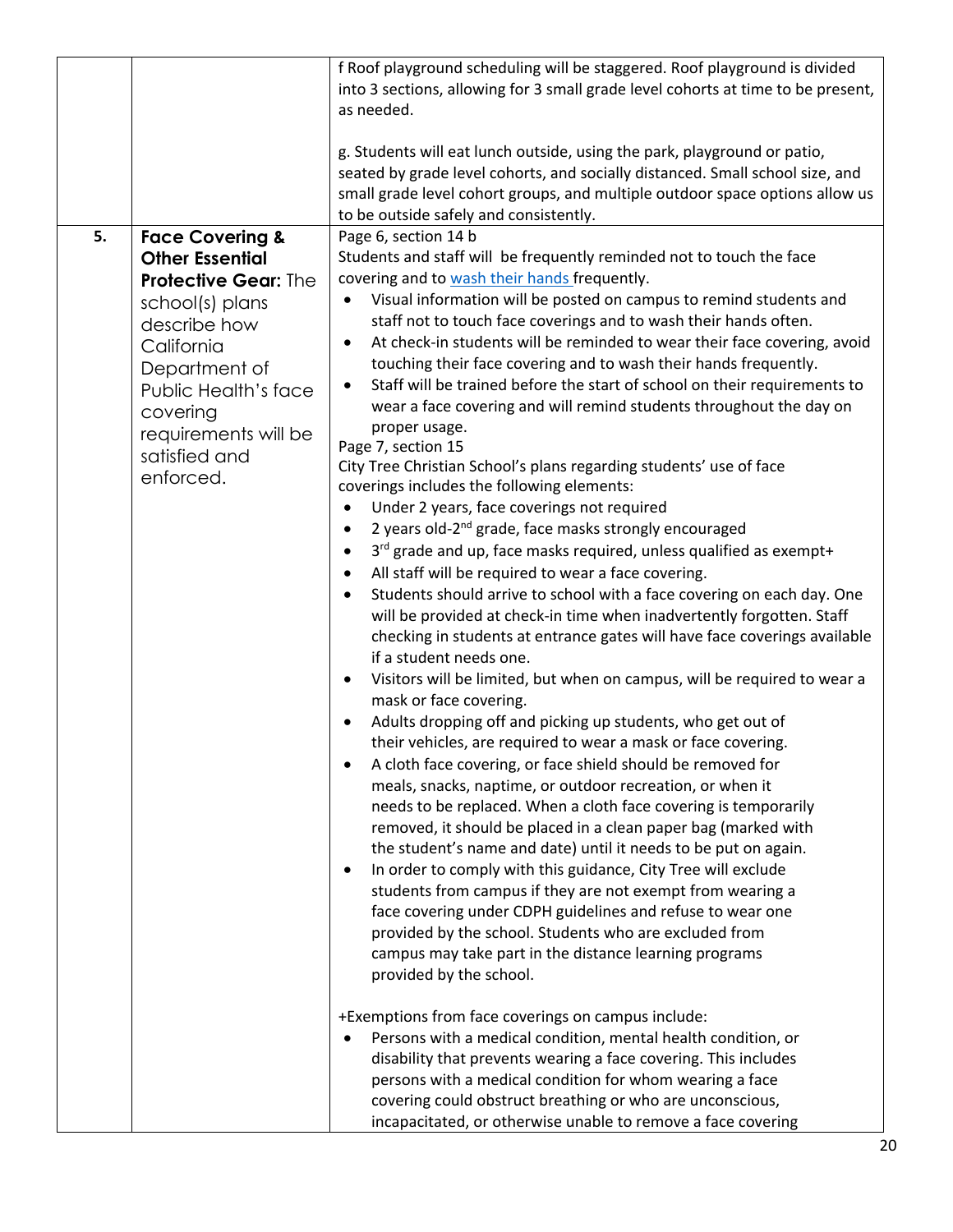|    |                                                                                                                                                                                                                                                 | f Roof playground scheduling will be staggered. Roof playground is divided<br>into 3 sections, allowing for 3 small grade level cohorts at time to be present,<br>as needed.                                                                                                                                                                                                                                                                                                                                                                                                                                                                                                                                                                                                                                                                                                                                                                                                                                                                                                                                                                                                                                                                                                                                                                                                                                                                                                                                                                                                                                                                                                                                                                                                                                                                                                                                                                                                                                                                                                                                                                                                                                                                                                                                                                                                                                                                                                                                                                                                                                                                                                                                                      |
|----|-------------------------------------------------------------------------------------------------------------------------------------------------------------------------------------------------------------------------------------------------|-----------------------------------------------------------------------------------------------------------------------------------------------------------------------------------------------------------------------------------------------------------------------------------------------------------------------------------------------------------------------------------------------------------------------------------------------------------------------------------------------------------------------------------------------------------------------------------------------------------------------------------------------------------------------------------------------------------------------------------------------------------------------------------------------------------------------------------------------------------------------------------------------------------------------------------------------------------------------------------------------------------------------------------------------------------------------------------------------------------------------------------------------------------------------------------------------------------------------------------------------------------------------------------------------------------------------------------------------------------------------------------------------------------------------------------------------------------------------------------------------------------------------------------------------------------------------------------------------------------------------------------------------------------------------------------------------------------------------------------------------------------------------------------------------------------------------------------------------------------------------------------------------------------------------------------------------------------------------------------------------------------------------------------------------------------------------------------------------------------------------------------------------------------------------------------------------------------------------------------------------------------------------------------------------------------------------------------------------------------------------------------------------------------------------------------------------------------------------------------------------------------------------------------------------------------------------------------------------------------------------------------------------------------------------------------------------------------------------------------|
|    |                                                                                                                                                                                                                                                 | g. Students will eat lunch outside, using the park, playground or patio,<br>seated by grade level cohorts, and socially distanced. Small school size, and<br>small grade level cohort groups, and multiple outdoor space options allow us<br>to be outside safely and consistently.                                                                                                                                                                                                                                                                                                                                                                                                                                                                                                                                                                                                                                                                                                                                                                                                                                                                                                                                                                                                                                                                                                                                                                                                                                                                                                                                                                                                                                                                                                                                                                                                                                                                                                                                                                                                                                                                                                                                                                                                                                                                                                                                                                                                                                                                                                                                                                                                                                               |
| 5. | <b>Face Covering &amp;</b><br><b>Other Essential</b><br><b>Protective Gear: The</b><br>school(s) plans<br>describe how<br>California<br>Department of<br>Public Health's face<br>covering<br>requirements will be<br>satisfied and<br>enforced. | Page 6, section 14 b<br>Students and staff will be frequently reminded not to touch the face<br>covering and to wash their hands frequently.<br>Visual information will be posted on campus to remind students and<br>$\bullet$<br>staff not to touch face coverings and to wash their hands often.<br>At check-in students will be reminded to wear their face covering, avoid<br>$\bullet$<br>touching their face covering and to wash their hands frequently.<br>Staff will be trained before the start of school on their requirements to<br>$\bullet$<br>wear a face covering and will remind students throughout the day on<br>proper usage.<br>Page 7, section 15<br>City Tree Christian School's plans regarding students' use of face<br>coverings includes the following elements:<br>Under 2 years, face coverings not required<br>٠<br>2 years old-2 <sup>nd</sup> grade, face masks strongly encouraged<br>$\bullet$<br>3 <sup>rd</sup> grade and up, face masks required, unless qualified as exempt+<br>$\bullet$<br>All staff will be required to wear a face covering.<br>$\bullet$<br>Students should arrive to school with a face covering on each day. One<br>$\bullet$<br>will be provided at check-in time when inadvertently forgotten. Staff<br>checking in students at entrance gates will have face coverings available<br>if a student needs one.<br>Visitors will be limited, but when on campus, will be required to wear a<br>$\bullet$<br>mask or face covering.<br>Adults dropping off and picking up students, who get out of<br>$\bullet$<br>their vehicles, are required to wear a mask or face covering.<br>A cloth face covering, or face shield should be removed for<br>meals, snacks, naptime, or outdoor recreation, or when it<br>needs to be replaced. When a cloth face covering is temporarily<br>removed, it should be placed in a clean paper bag (marked with<br>the student's name and date) until it needs to be put on again.<br>In order to comply with this guidance, City Tree will exclude<br>٠<br>students from campus if they are not exempt from wearing a<br>face covering under CDPH guidelines and refuse to wear one<br>provided by the school. Students who are excluded from<br>campus may take part in the distance learning programs<br>provided by the school.<br>+Exemptions from face coverings on campus include:<br>Persons with a medical condition, mental health condition, or<br>$\bullet$<br>disability that prevents wearing a face covering. This includes<br>persons with a medical condition for whom wearing a face<br>covering could obstruct breathing or who are unconscious,<br>incapacitated, or otherwise unable to remove a face covering |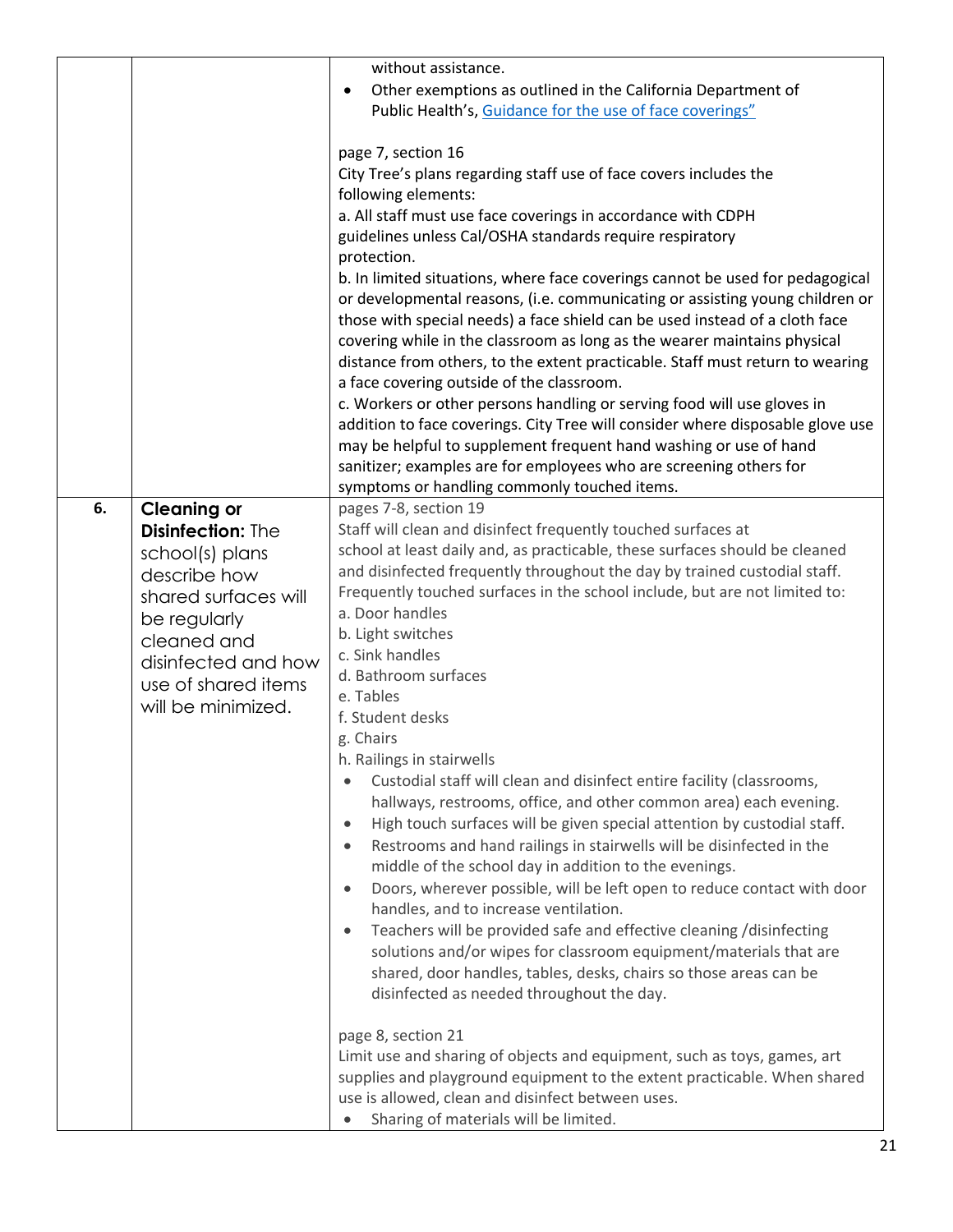|    |                                                                                                                                                                                                              | without assistance.<br>Other exemptions as outlined in the California Department of<br>$\bullet$<br>Public Health's, Guidance for the use of face coverings"<br>page 7, section 16<br>City Tree's plans regarding staff use of face covers includes the<br>following elements:<br>a. All staff must use face coverings in accordance with CDPH<br>guidelines unless Cal/OSHA standards require respiratory<br>protection.<br>b. In limited situations, where face coverings cannot be used for pedagogical<br>or developmental reasons, (i.e. communicating or assisting young children or<br>those with special needs) a face shield can be used instead of a cloth face<br>covering while in the classroom as long as the wearer maintains physical<br>distance from others, to the extent practicable. Staff must return to wearing<br>a face covering outside of the classroom.<br>c. Workers or other persons handling or serving food will use gloves in<br>addition to face coverings. City Tree will consider where disposable glove use<br>may be helpful to supplement frequent hand washing or use of hand<br>sanitizer; examples are for employees who are screening others for<br>symptoms or handling commonly touched items.                                                                                                                                                                                                                                                                                                                                     |
|----|--------------------------------------------------------------------------------------------------------------------------------------------------------------------------------------------------------------|---------------------------------------------------------------------------------------------------------------------------------------------------------------------------------------------------------------------------------------------------------------------------------------------------------------------------------------------------------------------------------------------------------------------------------------------------------------------------------------------------------------------------------------------------------------------------------------------------------------------------------------------------------------------------------------------------------------------------------------------------------------------------------------------------------------------------------------------------------------------------------------------------------------------------------------------------------------------------------------------------------------------------------------------------------------------------------------------------------------------------------------------------------------------------------------------------------------------------------------------------------------------------------------------------------------------------------------------------------------------------------------------------------------------------------------------------------------------------------------------------------------------------------------------------------------------------------|
| 6. | <b>Cleaning or</b><br><b>Disinfection: The</b><br>school(s) plans<br>describe how<br>shared surfaces will<br>be regularly<br>cleaned and<br>disinfected and how<br>use of shared items<br>will be minimized. | pages 7-8, section 19<br>Staff will clean and disinfect frequently touched surfaces at<br>school at least daily and, as practicable, these surfaces should be cleaned<br>and disinfected frequently throughout the day by trained custodial staff.<br>Frequently touched surfaces in the school include, but are not limited to:<br>a. Door handles<br>b. Light switches<br>c. Sink handles<br>d. Bathroom surfaces<br>e. Tables<br>f. Student desks<br>g. Chairs<br>h. Railings in stairwells<br>Custodial staff will clean and disinfect entire facility (classrooms,<br>٠<br>hallways, restrooms, office, and other common area) each evening.<br>High touch surfaces will be given special attention by custodial staff.<br>$\bullet$<br>Restrooms and hand railings in stairwells will be disinfected in the<br>$\bullet$<br>middle of the school day in addition to the evenings.<br>Doors, wherever possible, will be left open to reduce contact with door<br>$\bullet$<br>handles, and to increase ventilation.<br>Teachers will be provided safe and effective cleaning /disinfecting<br>$\bullet$<br>solutions and/or wipes for classroom equipment/materials that are<br>shared, door handles, tables, desks, chairs so those areas can be<br>disinfected as needed throughout the day.<br>page 8, section 21<br>Limit use and sharing of objects and equipment, such as toys, games, art<br>supplies and playground equipment to the extent practicable. When shared<br>use is allowed, clean and disinfect between uses.<br>Sharing of materials will be limited. |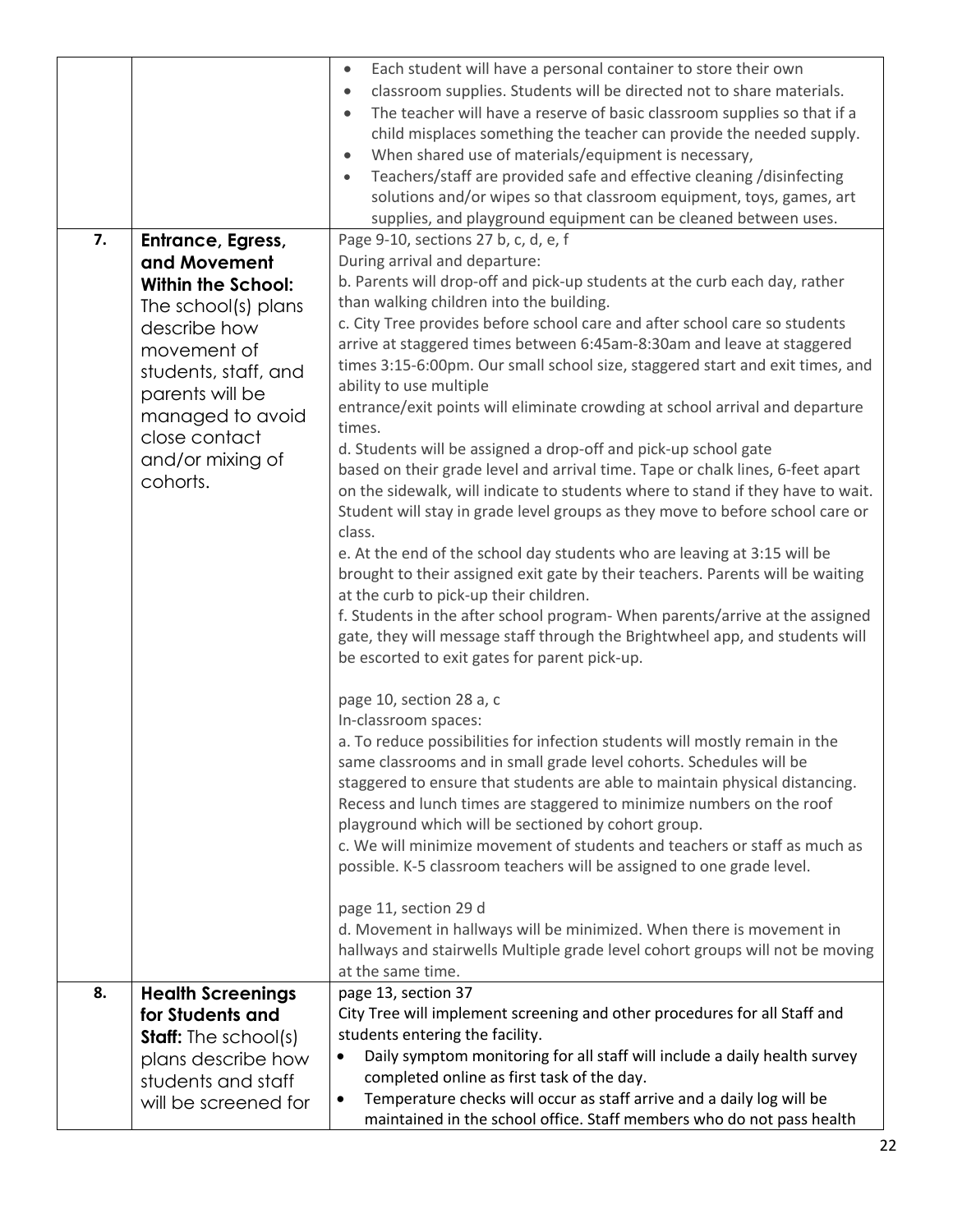|    |                                                                                                                                                                                                                                      | Each student will have a personal container to store their own<br>$\bullet$<br>classroom supplies. Students will be directed not to share materials.<br>$\bullet$                                                                                                                                                                                                                                                                                                                                                                                                                                                                                                                                                                                                                                                                                                                                                                                                                                                                                                                                                                                                                                                                                                                                                                                                                                                                                                                                                                                                                                                                                                                                                                                                                                                                                                                                                                                                                                                                                                                         |
|----|--------------------------------------------------------------------------------------------------------------------------------------------------------------------------------------------------------------------------------------|-------------------------------------------------------------------------------------------------------------------------------------------------------------------------------------------------------------------------------------------------------------------------------------------------------------------------------------------------------------------------------------------------------------------------------------------------------------------------------------------------------------------------------------------------------------------------------------------------------------------------------------------------------------------------------------------------------------------------------------------------------------------------------------------------------------------------------------------------------------------------------------------------------------------------------------------------------------------------------------------------------------------------------------------------------------------------------------------------------------------------------------------------------------------------------------------------------------------------------------------------------------------------------------------------------------------------------------------------------------------------------------------------------------------------------------------------------------------------------------------------------------------------------------------------------------------------------------------------------------------------------------------------------------------------------------------------------------------------------------------------------------------------------------------------------------------------------------------------------------------------------------------------------------------------------------------------------------------------------------------------------------------------------------------------------------------------------------------|
|    |                                                                                                                                                                                                                                      | The teacher will have a reserve of basic classroom supplies so that if a<br>$\bullet$<br>child misplaces something the teacher can provide the needed supply.<br>When shared use of materials/equipment is necessary,<br>$\bullet$                                                                                                                                                                                                                                                                                                                                                                                                                                                                                                                                                                                                                                                                                                                                                                                                                                                                                                                                                                                                                                                                                                                                                                                                                                                                                                                                                                                                                                                                                                                                                                                                                                                                                                                                                                                                                                                        |
|    |                                                                                                                                                                                                                                      | Teachers/staff are provided safe and effective cleaning /disinfecting<br>$\bullet$<br>solutions and/or wipes so that classroom equipment, toys, games, art<br>supplies, and playground equipment can be cleaned between uses.                                                                                                                                                                                                                                                                                                                                                                                                                                                                                                                                                                                                                                                                                                                                                                                                                                                                                                                                                                                                                                                                                                                                                                                                                                                                                                                                                                                                                                                                                                                                                                                                                                                                                                                                                                                                                                                             |
| 7. | Entrance, Egress,<br>and Movement<br><b>Within the School:</b><br>The school(s) plans<br>describe how<br>movement of<br>students, staff, and<br>parents will be<br>managed to avoid<br>close contact<br>and/or mixing of<br>cohorts. | Page 9-10, sections 27 b, c, d, e, f<br>During arrival and departure:<br>b. Parents will drop-off and pick-up students at the curb each day, rather<br>than walking children into the building.<br>c. City Tree provides before school care and after school care so students<br>arrive at staggered times between 6:45am-8:30am and leave at staggered<br>times 3:15-6:00pm. Our small school size, staggered start and exit times, and<br>ability to use multiple<br>entrance/exit points will eliminate crowding at school arrival and departure<br>times.<br>d. Students will be assigned a drop-off and pick-up school gate<br>based on their grade level and arrival time. Tape or chalk lines, 6-feet apart<br>on the sidewalk, will indicate to students where to stand if they have to wait.<br>Student will stay in grade level groups as they move to before school care or<br>class.<br>e. At the end of the school day students who are leaving at 3:15 will be<br>brought to their assigned exit gate by their teachers. Parents will be waiting<br>at the curb to pick-up their children.<br>f. Students in the after school program- When parents/arrive at the assigned<br>gate, they will message staff through the Brightwheel app, and students will<br>be escorted to exit gates for parent pick-up.<br>page 10, section 28 a, c<br>In-classroom spaces:<br>a. To reduce possibilities for infection students will mostly remain in the<br>same classrooms and in small grade level cohorts. Schedules will be<br>staggered to ensure that students are able to maintain physical distancing.<br>Recess and lunch times are staggered to minimize numbers on the roof<br>playground which will be sectioned by cohort group.<br>c. We will minimize movement of students and teachers or staff as much as<br>possible. K-5 classroom teachers will be assigned to one grade level.<br>page 11, section 29 d<br>d. Movement in hallways will be minimized. When there is movement in<br>hallways and stairwells Multiple grade level cohort groups will not be moving |
| 8. | <b>Health Screenings</b>                                                                                                                                                                                                             | at the same time.<br>page 13, section 37                                                                                                                                                                                                                                                                                                                                                                                                                                                                                                                                                                                                                                                                                                                                                                                                                                                                                                                                                                                                                                                                                                                                                                                                                                                                                                                                                                                                                                                                                                                                                                                                                                                                                                                                                                                                                                                                                                                                                                                                                                                  |
|    | for Students and<br><b>Staff:</b> The school(s)                                                                                                                                                                                      | City Tree will implement screening and other procedures for all Staff and<br>students entering the facility.                                                                                                                                                                                                                                                                                                                                                                                                                                                                                                                                                                                                                                                                                                                                                                                                                                                                                                                                                                                                                                                                                                                                                                                                                                                                                                                                                                                                                                                                                                                                                                                                                                                                                                                                                                                                                                                                                                                                                                              |
|    | plans describe how<br>students and staff                                                                                                                                                                                             | Daily symptom monitoring for all staff will include a daily health survey<br>completed online as first task of the day.                                                                                                                                                                                                                                                                                                                                                                                                                                                                                                                                                                                                                                                                                                                                                                                                                                                                                                                                                                                                                                                                                                                                                                                                                                                                                                                                                                                                                                                                                                                                                                                                                                                                                                                                                                                                                                                                                                                                                                   |
|    | will be screened for                                                                                                                                                                                                                 | Temperature checks will occur as staff arrive and a daily log will be<br>maintained in the school office. Staff members who do not pass health                                                                                                                                                                                                                                                                                                                                                                                                                                                                                                                                                                                                                                                                                                                                                                                                                                                                                                                                                                                                                                                                                                                                                                                                                                                                                                                                                                                                                                                                                                                                                                                                                                                                                                                                                                                                                                                                                                                                            |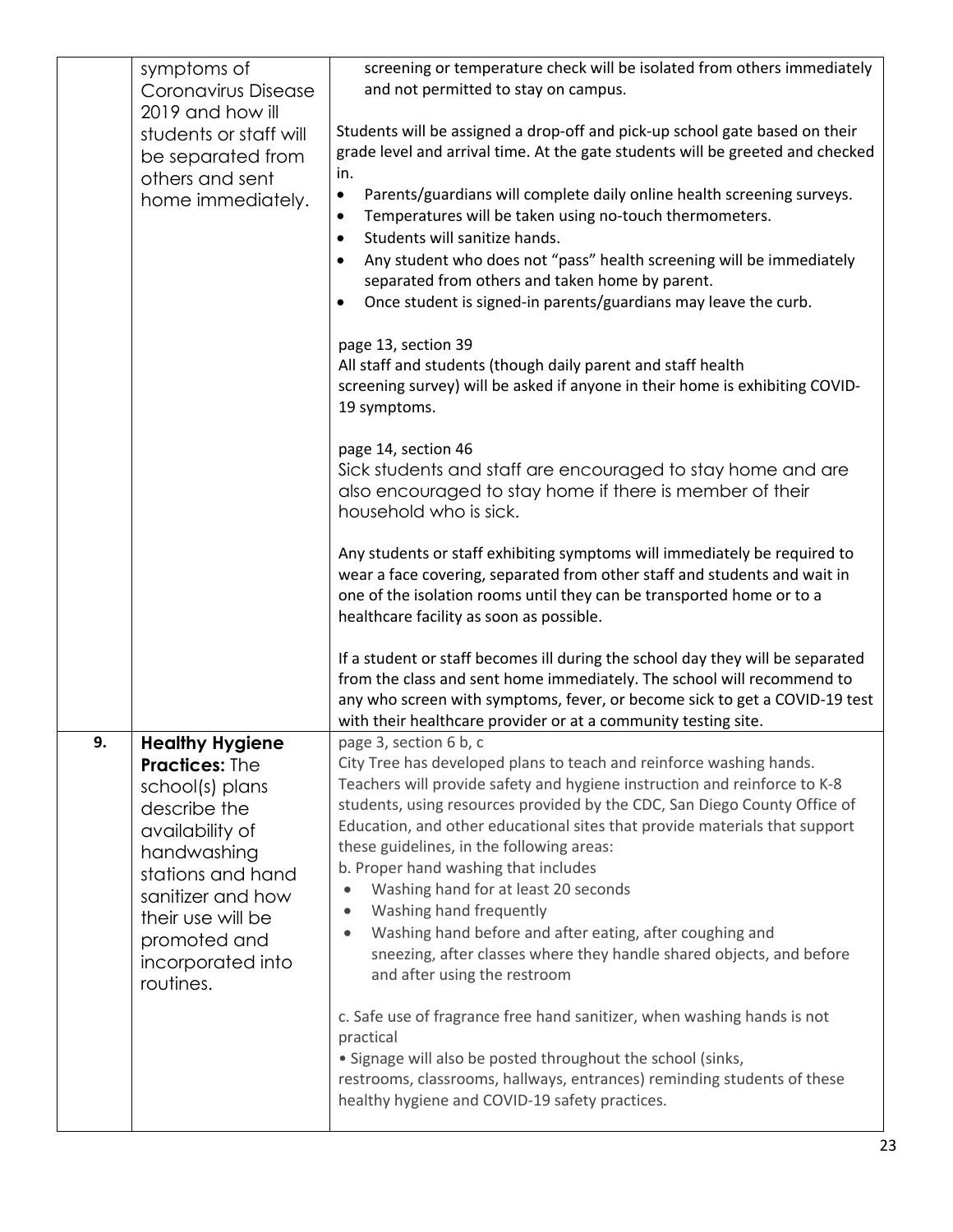|    | symptoms of<br>Coronavirus Disease                                                                                                                                                                                                    | screening or temperature check will be isolated from others immediately<br>and not permitted to stay on campus.                                                                                                                                                                                                                                                                                                                                                                                                                                                                                                                                                                                          |
|----|---------------------------------------------------------------------------------------------------------------------------------------------------------------------------------------------------------------------------------------|----------------------------------------------------------------------------------------------------------------------------------------------------------------------------------------------------------------------------------------------------------------------------------------------------------------------------------------------------------------------------------------------------------------------------------------------------------------------------------------------------------------------------------------------------------------------------------------------------------------------------------------------------------------------------------------------------------|
|    | 2019 and how ill<br>students or staff will<br>be separated from<br>others and sent<br>home immediately.                                                                                                                               | Students will be assigned a drop-off and pick-up school gate based on their<br>grade level and arrival time. At the gate students will be greeted and checked<br>in.<br>Parents/guardians will complete daily online health screening surveys.<br>$\bullet$<br>Temperatures will be taken using no-touch thermometers.<br>٠<br>Students will sanitize hands.<br>$\bullet$<br>Any student who does not "pass" health screening will be immediately<br>٠<br>separated from others and taken home by parent.<br>Once student is signed-in parents/guardians may leave the curb.<br>$\bullet$                                                                                                                |
|    |                                                                                                                                                                                                                                       | page 13, section 39<br>All staff and students (though daily parent and staff health<br>screening survey) will be asked if anyone in their home is exhibiting COVID-<br>19 symptoms.                                                                                                                                                                                                                                                                                                                                                                                                                                                                                                                      |
|    |                                                                                                                                                                                                                                       | page 14, section 46<br>Sick students and staff are encouraged to stay home and are<br>also encouraged to stay home if there is member of their<br>household who is sick.                                                                                                                                                                                                                                                                                                                                                                                                                                                                                                                                 |
|    |                                                                                                                                                                                                                                       | Any students or staff exhibiting symptoms will immediately be required to<br>wear a face covering, separated from other staff and students and wait in<br>one of the isolation rooms until they can be transported home or to a<br>healthcare facility as soon as possible.                                                                                                                                                                                                                                                                                                                                                                                                                              |
|    |                                                                                                                                                                                                                                       | If a student or staff becomes ill during the school day they will be separated<br>from the class and sent home immediately. The school will recommend to<br>any who screen with symptoms, fever, or become sick to get a COVID-19 test<br>with their healthcare provider or at a community testing site.                                                                                                                                                                                                                                                                                                                                                                                                 |
| 9. | <b>Healthy Hygiene</b><br><b>Practices: The</b><br>school(s) plans<br>describe the<br>availability of<br>handwashing<br>stations and hand<br>sanitizer and how<br>their use will be<br>promoted and<br>incorporated into<br>routines. | page 3, section 6 b, c<br>City Tree has developed plans to teach and reinforce washing hands.<br>Teachers will provide safety and hygiene instruction and reinforce to K-8<br>students, using resources provided by the CDC, San Diego County Office of<br>Education, and other educational sites that provide materials that support<br>these guidelines, in the following areas:<br>b. Proper hand washing that includes<br>Washing hand for at least 20 seconds<br>$\bullet$<br>Washing hand frequently<br>$\bullet$<br>Washing hand before and after eating, after coughing and<br>$\bullet$<br>sneezing, after classes where they handle shared objects, and before<br>and after using the restroom |
|    |                                                                                                                                                                                                                                       | c. Safe use of fragrance free hand sanitizer, when washing hands is not<br>practical<br>• Signage will also be posted throughout the school (sinks,<br>restrooms, classrooms, hallways, entrances) reminding students of these<br>healthy hygiene and COVID-19 safety practices.                                                                                                                                                                                                                                                                                                                                                                                                                         |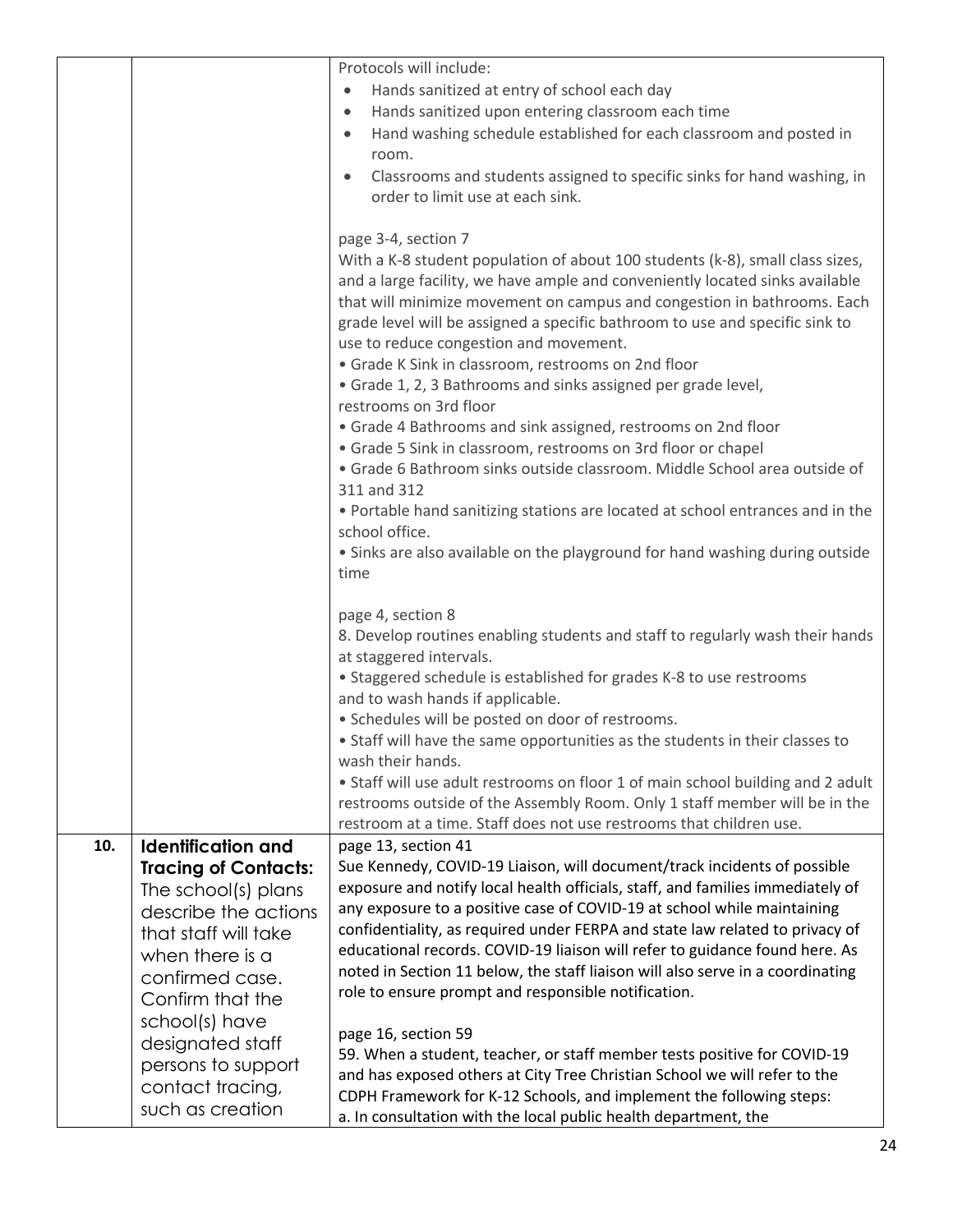|     |                             | Protocols will include:                                                                                                                                    |
|-----|-----------------------------|------------------------------------------------------------------------------------------------------------------------------------------------------------|
|     |                             | Hands sanitized at entry of school each day<br>$\bullet$                                                                                                   |
|     |                             | Hands sanitized upon entering classroom each time<br>$\bullet$                                                                                             |
|     |                             | Hand washing schedule established for each classroom and posted in<br>$\bullet$                                                                            |
|     |                             | room.                                                                                                                                                      |
|     |                             | Classrooms and students assigned to specific sinks for hand washing, in<br>$\bullet$                                                                       |
|     |                             | order to limit use at each sink.                                                                                                                           |
|     |                             |                                                                                                                                                            |
|     |                             | page 3-4, section 7                                                                                                                                        |
|     |                             | With a K-8 student population of about 100 students (k-8), small class sizes,                                                                              |
|     |                             | and a large facility, we have ample and conveniently located sinks available                                                                               |
|     |                             | that will minimize movement on campus and congestion in bathrooms. Each                                                                                    |
|     |                             | grade level will be assigned a specific bathroom to use and specific sink to                                                                               |
|     |                             | use to reduce congestion and movement.<br>• Grade K Sink in classroom, restrooms on 2nd floor                                                              |
|     |                             | • Grade 1, 2, 3 Bathrooms and sinks assigned per grade level,                                                                                              |
|     |                             | restrooms on 3rd floor                                                                                                                                     |
|     |                             | • Grade 4 Bathrooms and sink assigned, restrooms on 2nd floor                                                                                              |
|     |                             | • Grade 5 Sink in classroom, restrooms on 3rd floor or chapel                                                                                              |
|     |                             | · Grade 6 Bathroom sinks outside classroom. Middle School area outside of                                                                                  |
|     |                             | 311 and 312                                                                                                                                                |
|     |                             | . Portable hand sanitizing stations are located at school entrances and in the                                                                             |
|     |                             | school office.                                                                                                                                             |
|     |                             | • Sinks are also available on the playground for hand washing during outside                                                                               |
|     |                             | time                                                                                                                                                       |
|     |                             |                                                                                                                                                            |
|     |                             | page 4, section 8                                                                                                                                          |
|     |                             | 8. Develop routines enabling students and staff to regularly wash their hands                                                                              |
|     |                             | at staggered intervals.                                                                                                                                    |
|     |                             | • Staggered schedule is established for grades K-8 to use restrooms                                                                                        |
|     |                             | and to wash hands if applicable.                                                                                                                           |
|     |                             | · Schedules will be posted on door of restrooms.                                                                                                           |
|     |                             | • Staff will have the same opportunities as the students in their classes to                                                                               |
|     |                             | wash their hands.                                                                                                                                          |
|     |                             | • Staff will use adult restrooms on floor 1 of main school building and 2 adult                                                                            |
|     |                             | restrooms outside of the Assembly Room. Only 1 staff member will be in the                                                                                 |
|     |                             | restroom at a time. Staff does not use restrooms that children use.                                                                                        |
| 10. | <b>Identification and</b>   | page 13, section 41                                                                                                                                        |
|     | <b>Tracing of Contacts:</b> | Sue Kennedy, COVID-19 Liaison, will document/track incidents of possible<br>exposure and notify local health officials, staff, and families immediately of |
|     | The school(s) plans         | any exposure to a positive case of COVID-19 at school while maintaining                                                                                    |
|     | describe the actions        | confidentiality, as required under FERPA and state law related to privacy of                                                                               |
|     | that staff will take        | educational records. COVID-19 liaison will refer to guidance found here. As                                                                                |
|     | when there is a             | noted in Section 11 below, the staff liaison will also serve in a coordinating                                                                             |
|     | confirmed case.             | role to ensure prompt and responsible notification.                                                                                                        |
|     | Confirm that the            |                                                                                                                                                            |
|     | school(s) have              | page 16, section 59                                                                                                                                        |
|     | designated staff            | 59. When a student, teacher, or staff member tests positive for COVID-19                                                                                   |
|     | persons to support          | and has exposed others at City Tree Christian School we will refer to the                                                                                  |
|     | contact tracing,            | CDPH Framework for K-12 Schools, and implement the following steps:                                                                                        |
|     | such as creation            | a. In consultation with the local public health department, the                                                                                            |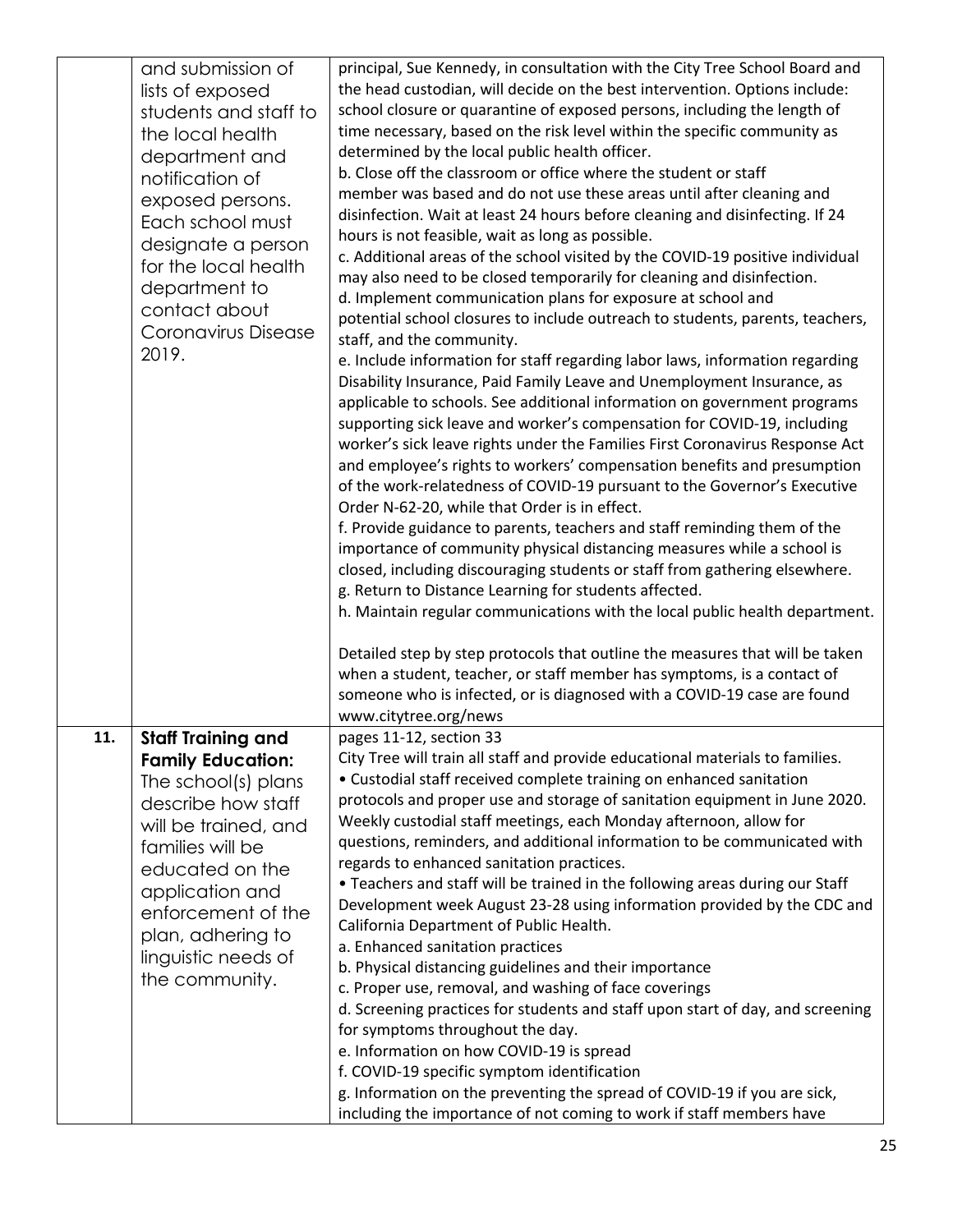|     | and submission of<br>lists of exposed<br>students and staff to<br>the local health<br>department and<br>notification of<br>exposed persons.<br>Each school must<br>designate a person<br>for the local health<br>department to<br>contact about<br>Coronavirus Disease<br>2019. | principal, Sue Kennedy, in consultation with the City Tree School Board and<br>the head custodian, will decide on the best intervention. Options include:<br>school closure or quarantine of exposed persons, including the length of<br>time necessary, based on the risk level within the specific community as<br>determined by the local public health officer.<br>b. Close off the classroom or office where the student or staff<br>member was based and do not use these areas until after cleaning and<br>disinfection. Wait at least 24 hours before cleaning and disinfecting. If 24<br>hours is not feasible, wait as long as possible.<br>c. Additional areas of the school visited by the COVID-19 positive individual<br>may also need to be closed temporarily for cleaning and disinfection.<br>d. Implement communication plans for exposure at school and<br>potential school closures to include outreach to students, parents, teachers,<br>staff, and the community.<br>e. Include information for staff regarding labor laws, information regarding<br>Disability Insurance, Paid Family Leave and Unemployment Insurance, as<br>applicable to schools. See additional information on government programs<br>supporting sick leave and worker's compensation for COVID-19, including<br>worker's sick leave rights under the Families First Coronavirus Response Act<br>and employee's rights to workers' compensation benefits and presumption<br>of the work-relatedness of COVID-19 pursuant to the Governor's Executive<br>Order N-62-20, while that Order is in effect.<br>f. Provide guidance to parents, teachers and staff reminding them of the<br>importance of community physical distancing measures while a school is<br>closed, including discouraging students or staff from gathering elsewhere.<br>g. Return to Distance Learning for students affected.<br>h. Maintain regular communications with the local public health department.<br>Detailed step by step protocols that outline the measures that will be taken<br>when a student, teacher, or staff member has symptoms, is a contact of<br>someone who is infected, or is diagnosed with a COVID-19 case are found<br>www.citytree.org/news |
|-----|---------------------------------------------------------------------------------------------------------------------------------------------------------------------------------------------------------------------------------------------------------------------------------|----------------------------------------------------------------------------------------------------------------------------------------------------------------------------------------------------------------------------------------------------------------------------------------------------------------------------------------------------------------------------------------------------------------------------------------------------------------------------------------------------------------------------------------------------------------------------------------------------------------------------------------------------------------------------------------------------------------------------------------------------------------------------------------------------------------------------------------------------------------------------------------------------------------------------------------------------------------------------------------------------------------------------------------------------------------------------------------------------------------------------------------------------------------------------------------------------------------------------------------------------------------------------------------------------------------------------------------------------------------------------------------------------------------------------------------------------------------------------------------------------------------------------------------------------------------------------------------------------------------------------------------------------------------------------------------------------------------------------------------------------------------------------------------------------------------------------------------------------------------------------------------------------------------------------------------------------------------------------------------------------------------------------------------------------------------------------------------------------------------------------------------------------------------------------------------------------------------------------------------------|
| 11. | <b>Staff Training and</b><br><b>Family Education:</b><br>The school(s) plans<br>describe how staff<br>will be trained, and<br>families will be<br>educated on the<br>application and<br>enforcement of the<br>plan, adhering to<br>linguistic needs of<br>the community.        | pages 11-12, section 33<br>City Tree will train all staff and provide educational materials to families.<br>• Custodial staff received complete training on enhanced sanitation<br>protocols and proper use and storage of sanitation equipment in June 2020.<br>Weekly custodial staff meetings, each Monday afternoon, allow for<br>questions, reminders, and additional information to be communicated with<br>regards to enhanced sanitation practices.<br>• Teachers and staff will be trained in the following areas during our Staff<br>Development week August 23-28 using information provided by the CDC and<br>California Department of Public Health.<br>a. Enhanced sanitation practices<br>b. Physical distancing guidelines and their importance<br>c. Proper use, removal, and washing of face coverings<br>d. Screening practices for students and staff upon start of day, and screening<br>for symptoms throughout the day.<br>e. Information on how COVID-19 is spread<br>f. COVID-19 specific symptom identification<br>g. Information on the preventing the spread of COVID-19 if you are sick,<br>including the importance of not coming to work if staff members have                                                                                                                                                                                                                                                                                                                                                                                                                                                                                                                                                                                                                                                                                                                                                                                                                                                                                                                                                                                                                                                |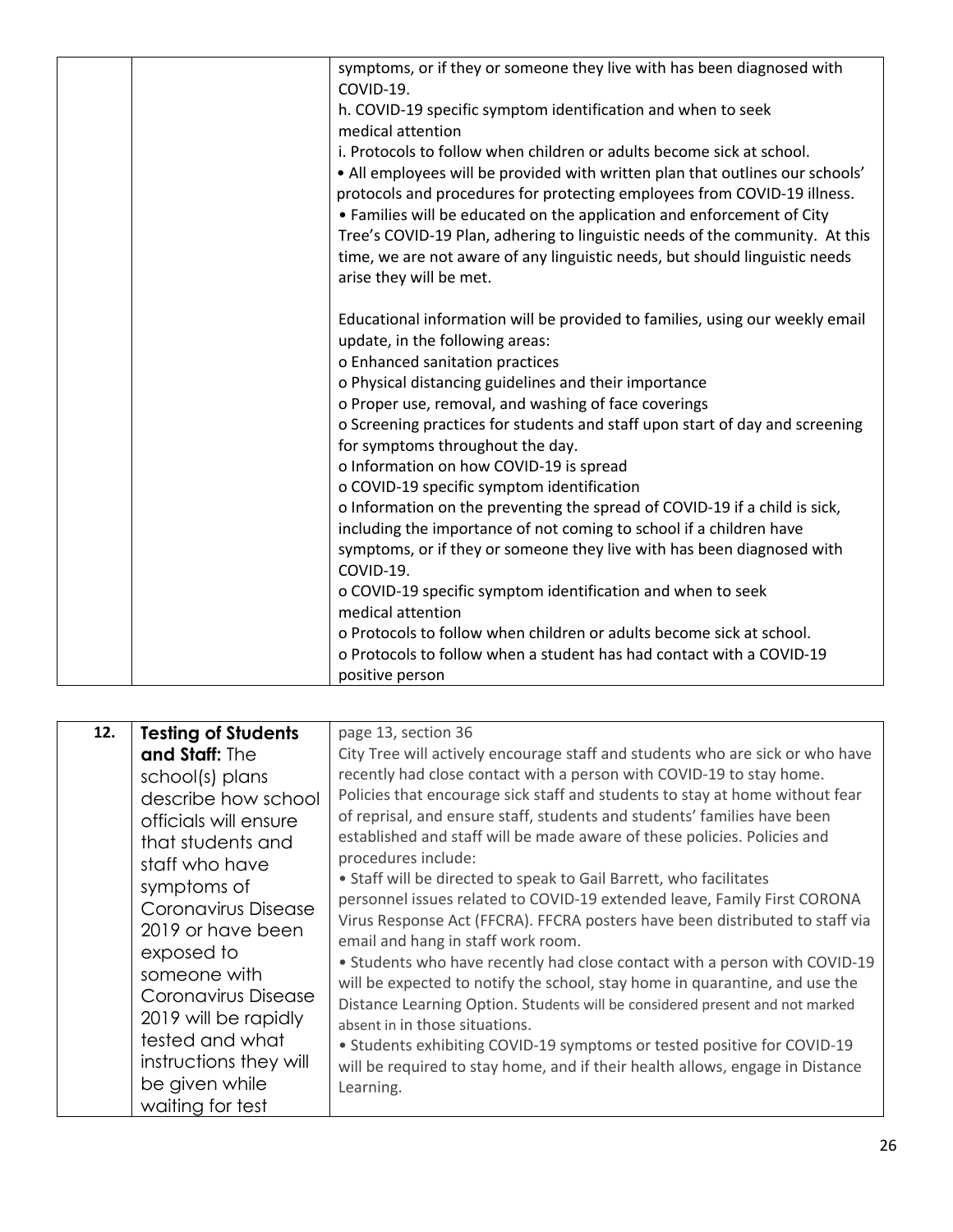|  | symptoms, or if they or someone they live with has been diagnosed with<br>COVID-19.<br>h. COVID-19 specific symptom identification and when to seek<br>medical attention<br>i. Protocols to follow when children or adults become sick at school.<br>• All employees will be provided with written plan that outlines our schools'<br>protocols and procedures for protecting employees from COVID-19 illness.<br>• Families will be educated on the application and enforcement of City<br>Tree's COVID-19 Plan, adhering to linguistic needs of the community. At this<br>time, we are not aware of any linguistic needs, but should linguistic needs<br>arise they will be met.                                           |
|--|------------------------------------------------------------------------------------------------------------------------------------------------------------------------------------------------------------------------------------------------------------------------------------------------------------------------------------------------------------------------------------------------------------------------------------------------------------------------------------------------------------------------------------------------------------------------------------------------------------------------------------------------------------------------------------------------------------------------------|
|  | Educational information will be provided to families, using our weekly email<br>update, in the following areas:<br>o Enhanced sanitation practices<br>o Physical distancing guidelines and their importance<br>o Proper use, removal, and washing of face coverings<br>o Screening practices for students and staff upon start of day and screening<br>for symptoms throughout the day.<br>o Information on how COVID-19 is spread<br>o COVID-19 specific symptom identification<br>o Information on the preventing the spread of COVID-19 if a child is sick,<br>including the importance of not coming to school if a children have<br>symptoms, or if they or someone they live with has been diagnosed with<br>COVID-19. |
|  | o COVID-19 specific symptom identification and when to seek<br>medical attention<br>o Protocols to follow when children or adults become sick at school.<br>o Protocols to follow when a student has had contact with a COVID-19<br>positive person                                                                                                                                                                                                                                                                                                                                                                                                                                                                          |

| 12. | <b>Testing of Students</b>                                                                                                                              | page 13, section 36                                                                                                                                                                                                                                                                                                                                                                                                                                                                                                                                                                                                            |
|-----|---------------------------------------------------------------------------------------------------------------------------------------------------------|--------------------------------------------------------------------------------------------------------------------------------------------------------------------------------------------------------------------------------------------------------------------------------------------------------------------------------------------------------------------------------------------------------------------------------------------------------------------------------------------------------------------------------------------------------------------------------------------------------------------------------|
|     | and Staff: The                                                                                                                                          | City Tree will actively encourage staff and students who are sick or who have                                                                                                                                                                                                                                                                                                                                                                                                                                                                                                                                                  |
|     | school(s) plans<br>describe how school<br>officials will ensure<br>that students and<br>staff who have                                                  | recently had close contact with a person with COVID-19 to stay home.<br>Policies that encourage sick staff and students to stay at home without fear<br>of reprisal, and ensure staff, students and students' families have been<br>established and staff will be made aware of these policies. Policies and<br>procedures include:                                                                                                                                                                                                                                                                                            |
|     | symptoms of<br>Coronavirus Disease<br>2019 or have been<br>exposed to<br>someone with<br>Coronavirus Disease<br>2019 will be rapidly<br>tested and what | • Staff will be directed to speak to Gail Barrett, who facilitates<br>personnel issues related to COVID-19 extended leave, Family First CORONA<br>Virus Response Act (FFCRA). FFCRA posters have been distributed to staff via<br>email and hang in staff work room.<br>• Students who have recently had close contact with a person with COVID-19<br>will be expected to notify the school, stay home in quarantine, and use the<br>Distance Learning Option. Students will be considered present and not marked<br>absent in in those situations.<br>• Students exhibiting COVID-19 symptoms or tested positive for COVID-19 |
|     | instructions they will<br>be given while<br>waiting for test                                                                                            | will be required to stay home, and if their health allows, engage in Distance<br>Learning.                                                                                                                                                                                                                                                                                                                                                                                                                                                                                                                                     |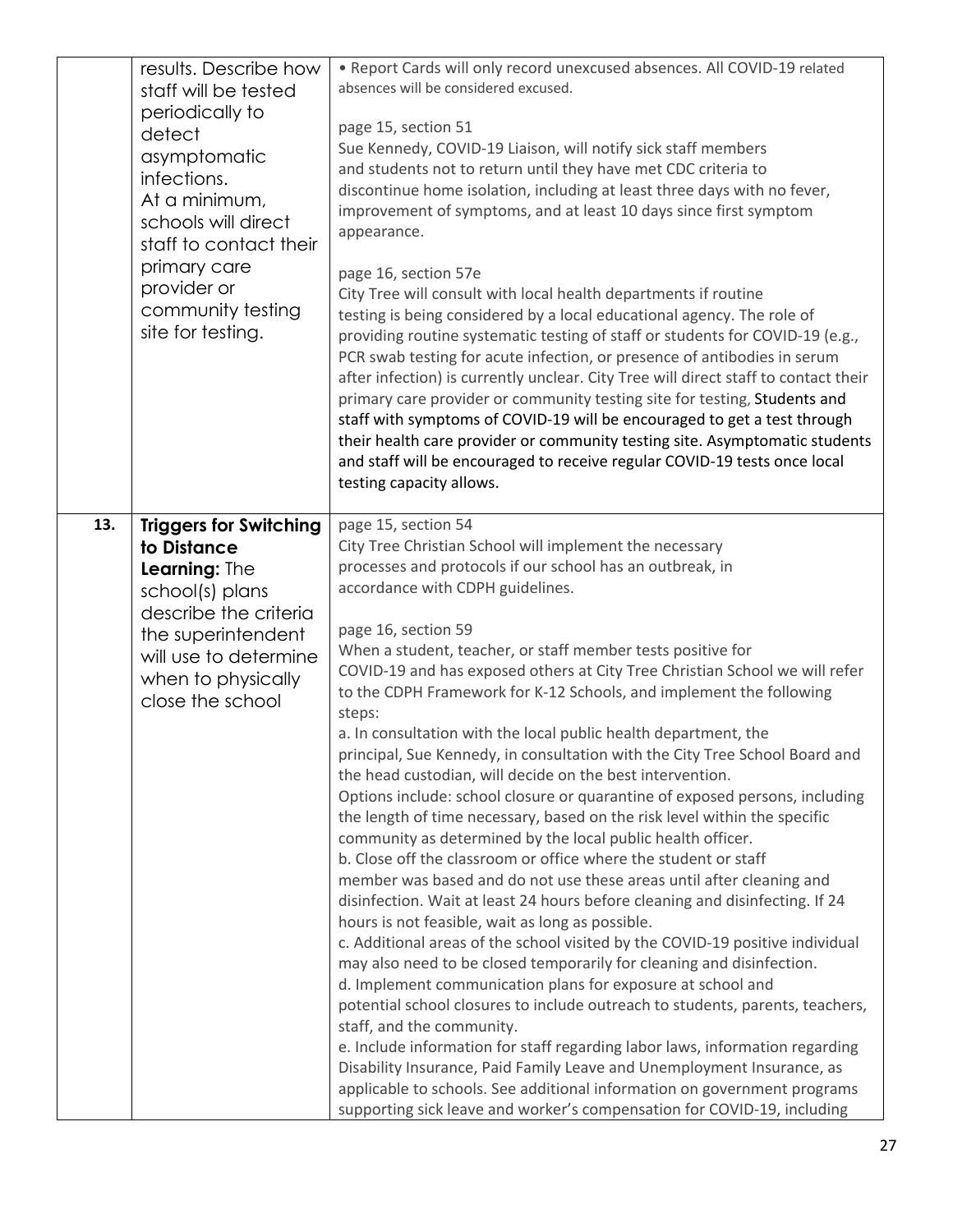|     | results. Describe how<br>staff will be tested<br>periodically to<br>detect<br>asymptomatic<br>infections.<br>At a minimum,<br>schools will direct<br>staff to contact their<br>primary care<br>provider or<br>community testing<br>site for testing. | . Report Cards will only record unexcused absences. All COVID-19 related<br>absences will be considered excused.<br>page 15, section 51<br>Sue Kennedy, COVID-19 Liaison, will notify sick staff members<br>and students not to return until they have met CDC criteria to<br>discontinue home isolation, including at least three days with no fever,<br>improvement of symptoms, and at least 10 days since first symptom<br>appearance.<br>page 16, section 57e<br>City Tree will consult with local health departments if routine<br>testing is being considered by a local educational agency. The role of<br>providing routine systematic testing of staff or students for COVID-19 (e.g.,<br>PCR swab testing for acute infection, or presence of antibodies in serum<br>after infection) is currently unclear. City Tree will direct staff to contact their<br>primary care provider or community testing site for testing, Students and<br>staff with symptoms of COVID-19 will be encouraged to get a test through<br>their health care provider or community testing site. Asymptomatic students<br>and staff will be encouraged to receive regular COVID-19 tests once local<br>testing capacity allows.                                                                                                                                                                                                                                                                                                                                                                                                                                                                                                                                                                                                   |
|-----|------------------------------------------------------------------------------------------------------------------------------------------------------------------------------------------------------------------------------------------------------|------------------------------------------------------------------------------------------------------------------------------------------------------------------------------------------------------------------------------------------------------------------------------------------------------------------------------------------------------------------------------------------------------------------------------------------------------------------------------------------------------------------------------------------------------------------------------------------------------------------------------------------------------------------------------------------------------------------------------------------------------------------------------------------------------------------------------------------------------------------------------------------------------------------------------------------------------------------------------------------------------------------------------------------------------------------------------------------------------------------------------------------------------------------------------------------------------------------------------------------------------------------------------------------------------------------------------------------------------------------------------------------------------------------------------------------------------------------------------------------------------------------------------------------------------------------------------------------------------------------------------------------------------------------------------------------------------------------------------------------------------------------------------------------------------------------------|
| 13. | <b>Triggers for Switching</b><br>to Distance<br>Learning: The<br>school(s) plans<br>describe the criteria<br>the superintendent<br>will use to determine<br>when to physically<br>close the school                                                   | page 15, section 54<br>City Tree Christian School will implement the necessary<br>processes and protocols if our school has an outbreak, in<br>accordance with CDPH guidelines.<br>page 16, section 59<br>When a student, teacher, or staff member tests positive for<br>COVID-19 and has exposed others at City Tree Christian School we will refer<br>to the CDPH Framework for K-12 Schools, and implement the following<br>steps:<br>a. In consultation with the local public health department, the<br>principal, Sue Kennedy, in consultation with the City Tree School Board and<br>the head custodian, will decide on the best intervention.<br>Options include: school closure or quarantine of exposed persons, including<br>the length of time necessary, based on the risk level within the specific<br>community as determined by the local public health officer.<br>b. Close off the classroom or office where the student or staff<br>member was based and do not use these areas until after cleaning and<br>disinfection. Wait at least 24 hours before cleaning and disinfecting. If 24<br>hours is not feasible, wait as long as possible.<br>c. Additional areas of the school visited by the COVID-19 positive individual<br>may also need to be closed temporarily for cleaning and disinfection.<br>d. Implement communication plans for exposure at school and<br>potential school closures to include outreach to students, parents, teachers,<br>staff, and the community.<br>e. Include information for staff regarding labor laws, information regarding<br>Disability Insurance, Paid Family Leave and Unemployment Insurance, as<br>applicable to schools. See additional information on government programs<br>supporting sick leave and worker's compensation for COVID-19, including |